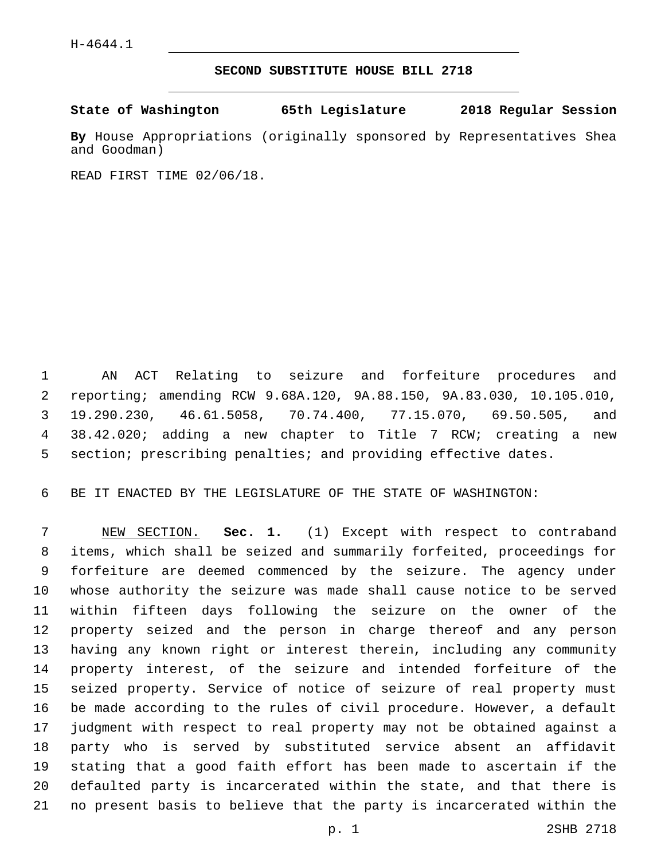## **SECOND SUBSTITUTE HOUSE BILL 2718**

**State of Washington 65th Legislature 2018 Regular Session**

**By** House Appropriations (originally sponsored by Representatives Shea and Goodman)

READ FIRST TIME 02/06/18.

 AN ACT Relating to seizure and forfeiture procedures and reporting; amending RCW 9.68A.120, 9A.88.150, 9A.83.030, 10.105.010, 19.290.230, 46.61.5058, 70.74.400, 77.15.070, 69.50.505, and 38.42.020; adding a new chapter to Title 7 RCW; creating a new section; prescribing penalties; and providing effective dates.

BE IT ENACTED BY THE LEGISLATURE OF THE STATE OF WASHINGTON:

 NEW SECTION. **Sec. 1.** (1) Except with respect to contraband items, which shall be seized and summarily forfeited, proceedings for forfeiture are deemed commenced by the seizure. The agency under whose authority the seizure was made shall cause notice to be served within fifteen days following the seizure on the owner of the property seized and the person in charge thereof and any person having any known right or interest therein, including any community property interest, of the seizure and intended forfeiture of the seized property. Service of notice of seizure of real property must be made according to the rules of civil procedure. However, a default judgment with respect to real property may not be obtained against a party who is served by substituted service absent an affidavit stating that a good faith effort has been made to ascertain if the defaulted party is incarcerated within the state, and that there is no present basis to believe that the party is incarcerated within the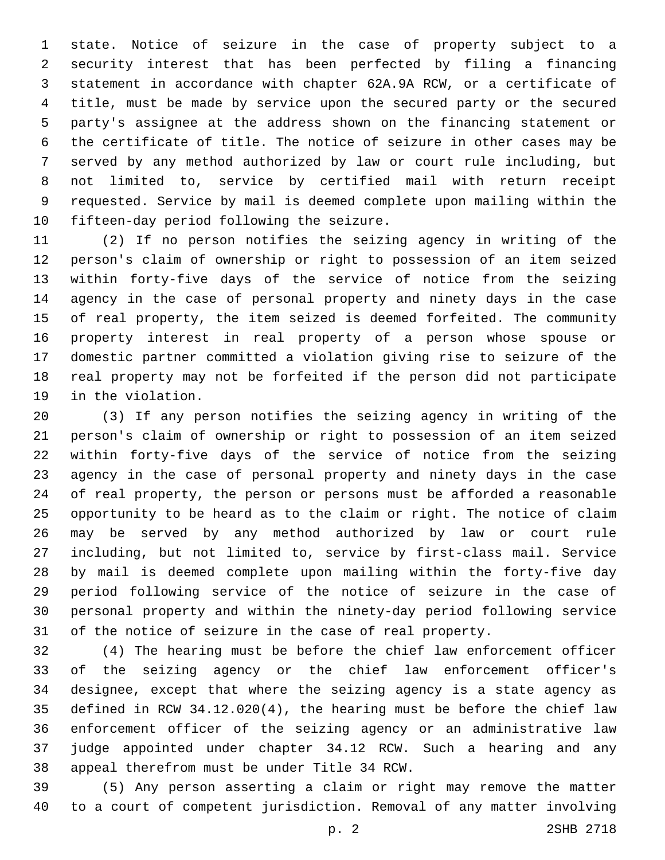state. Notice of seizure in the case of property subject to a security interest that has been perfected by filing a financing statement in accordance with chapter 62A.9A RCW, or a certificate of title, must be made by service upon the secured party or the secured party's assignee at the address shown on the financing statement or the certificate of title. The notice of seizure in other cases may be served by any method authorized by law or court rule including, but not limited to, service by certified mail with return receipt requested. Service by mail is deemed complete upon mailing within the 10 fifteen-day period following the seizure.

 (2) If no person notifies the seizing agency in writing of the person's claim of ownership or right to possession of an item seized within forty-five days of the service of notice from the seizing agency in the case of personal property and ninety days in the case of real property, the item seized is deemed forfeited. The community property interest in real property of a person whose spouse or domestic partner committed a violation giving rise to seizure of the real property may not be forfeited if the person did not participate 19 in the violation.

 (3) If any person notifies the seizing agency in writing of the person's claim of ownership or right to possession of an item seized within forty-five days of the service of notice from the seizing agency in the case of personal property and ninety days in the case of real property, the person or persons must be afforded a reasonable opportunity to be heard as to the claim or right. The notice of claim may be served by any method authorized by law or court rule including, but not limited to, service by first-class mail. Service by mail is deemed complete upon mailing within the forty-five day period following service of the notice of seizure in the case of personal property and within the ninety-day period following service of the notice of seizure in the case of real property.

 (4) The hearing must be before the chief law enforcement officer of the seizing agency or the chief law enforcement officer's designee, except that where the seizing agency is a state agency as defined in RCW 34.12.020(4), the hearing must be before the chief law enforcement officer of the seizing agency or an administrative law judge appointed under chapter 34.12 RCW. Such a hearing and any 38 appeal therefrom must be under Title 34 RCW.

 (5) Any person asserting a claim or right may remove the matter to a court of competent jurisdiction. Removal of any matter involving

p. 2 2SHB 2718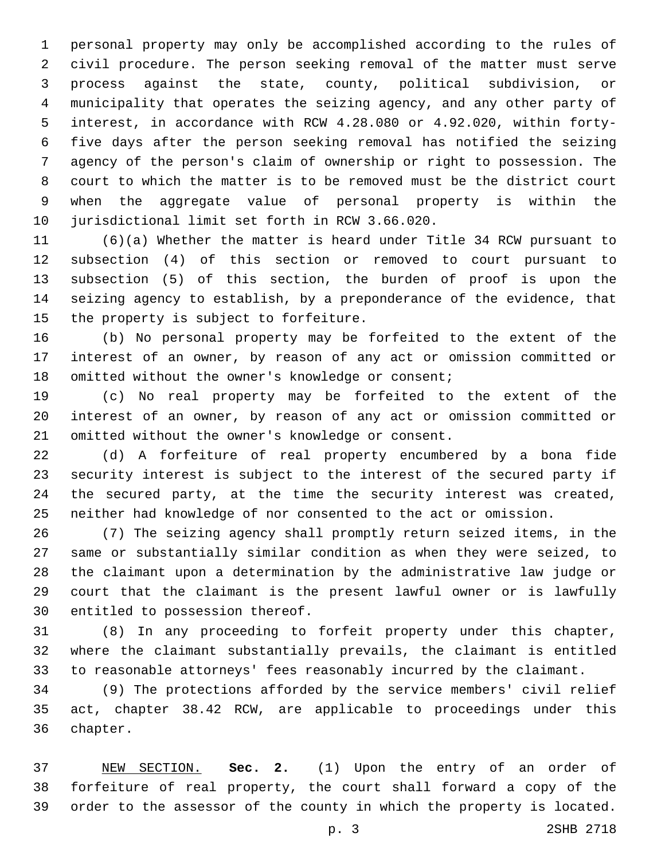personal property may only be accomplished according to the rules of civil procedure. The person seeking removal of the matter must serve process against the state, county, political subdivision, or municipality that operates the seizing agency, and any other party of interest, in accordance with RCW 4.28.080 or 4.92.020, within forty- five days after the person seeking removal has notified the seizing agency of the person's claim of ownership or right to possession. The court to which the matter is to be removed must be the district court when the aggregate value of personal property is within the 10 jurisdictional limit set forth in RCW 3.66.020.

 (6)(a) Whether the matter is heard under Title 34 RCW pursuant to subsection (4) of this section or removed to court pursuant to subsection (5) of this section, the burden of proof is upon the seizing agency to establish, by a preponderance of the evidence, that 15 the property is subject to forfeiture.

 (b) No personal property may be forfeited to the extent of the interest of an owner, by reason of any act or omission committed or 18 omitted without the owner's knowledge or consent;

 (c) No real property may be forfeited to the extent of the interest of an owner, by reason of any act or omission committed or 21 omitted without the owner's knowledge or consent.

 (d) A forfeiture of real property encumbered by a bona fide security interest is subject to the interest of the secured party if the secured party, at the time the security interest was created, neither had knowledge of nor consented to the act or omission.

 (7) The seizing agency shall promptly return seized items, in the same or substantially similar condition as when they were seized, to the claimant upon a determination by the administrative law judge or court that the claimant is the present lawful owner or is lawfully 30 entitled to possession thereof.

 (8) In any proceeding to forfeit property under this chapter, where the claimant substantially prevails, the claimant is entitled to reasonable attorneys' fees reasonably incurred by the claimant.

 (9) The protections afforded by the service members' civil relief act, chapter 38.42 RCW, are applicable to proceedings under this 36 chapter.

 NEW SECTION. **Sec. 2.** (1) Upon the entry of an order of forfeiture of real property, the court shall forward a copy of the order to the assessor of the county in which the property is located.

p. 3 2SHB 2718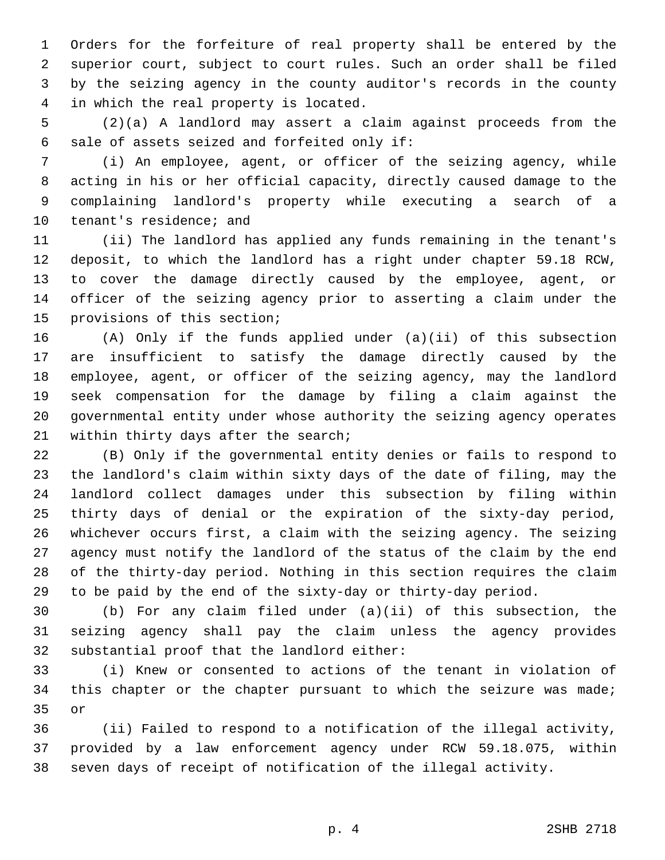Orders for the forfeiture of real property shall be entered by the superior court, subject to court rules. Such an order shall be filed by the seizing agency in the county auditor's records in the county 4 in which the real property is located.

 (2)(a) A landlord may assert a claim against proceeds from the 6 sale of assets seized and forfeited only if:

 (i) An employee, agent, or officer of the seizing agency, while acting in his or her official capacity, directly caused damage to the complaining landlord's property while executing a search of a 10 tenant's residence; and

 (ii) The landlord has applied any funds remaining in the tenant's deposit, to which the landlord has a right under chapter 59.18 RCW, to cover the damage directly caused by the employee, agent, or officer of the seizing agency prior to asserting a claim under the 15 provisions of this section;

 (A) Only if the funds applied under (a)(ii) of this subsection are insufficient to satisfy the damage directly caused by the employee, agent, or officer of the seizing agency, may the landlord seek compensation for the damage by filing a claim against the governmental entity under whose authority the seizing agency operates 21 within thirty days after the search;

 (B) Only if the governmental entity denies or fails to respond to the landlord's claim within sixty days of the date of filing, may the landlord collect damages under this subsection by filing within thirty days of denial or the expiration of the sixty-day period, whichever occurs first, a claim with the seizing agency. The seizing agency must notify the landlord of the status of the claim by the end of the thirty-day period. Nothing in this section requires the claim to be paid by the end of the sixty-day or thirty-day period.

 (b) For any claim filed under (a)(ii) of this subsection, the seizing agency shall pay the claim unless the agency provides 32 substantial proof that the landlord either:

 (i) Knew or consented to actions of the tenant in violation of this chapter or the chapter pursuant to which the seizure was made; 35 or

 (ii) Failed to respond to a notification of the illegal activity, provided by a law enforcement agency under RCW 59.18.075, within seven days of receipt of notification of the illegal activity.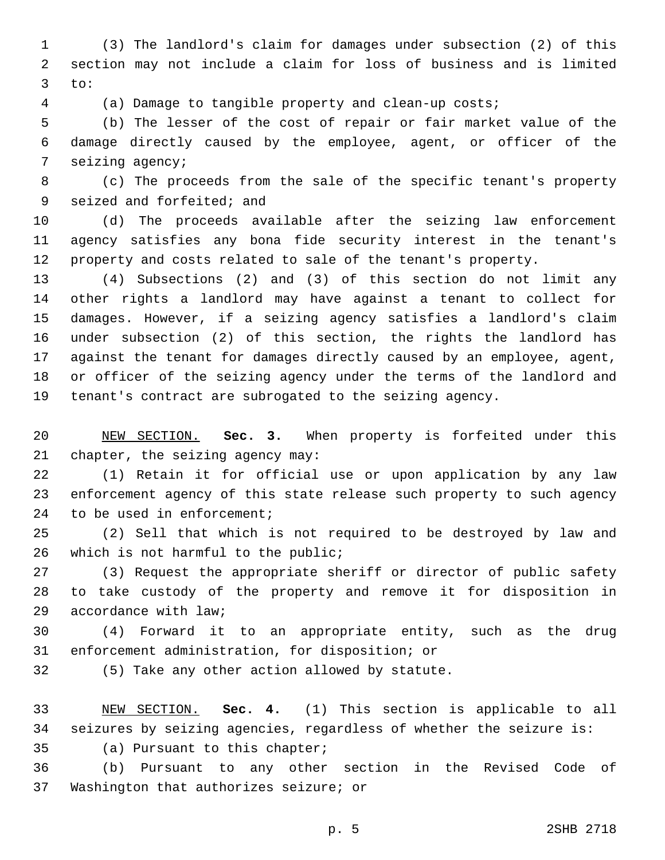(3) The landlord's claim for damages under subsection (2) of this section may not include a claim for loss of business and is limited to:3

(a) Damage to tangible property and clean-up costs;

 (b) The lesser of the cost of repair or fair market value of the damage directly caused by the employee, agent, or officer of the 7 seizing agency;

 (c) The proceeds from the sale of the specific tenant's property 9 seized and forfeited; and

 (d) The proceeds available after the seizing law enforcement agency satisfies any bona fide security interest in the tenant's property and costs related to sale of the tenant's property.

 (4) Subsections (2) and (3) of this section do not limit any other rights a landlord may have against a tenant to collect for damages. However, if a seizing agency satisfies a landlord's claim under subsection (2) of this section, the rights the landlord has against the tenant for damages directly caused by an employee, agent, or officer of the seizing agency under the terms of the landlord and tenant's contract are subrogated to the seizing agency.

 NEW SECTION. **Sec. 3.** When property is forfeited under this chapter, the seizing agency may:

 (1) Retain it for official use or upon application by any law enforcement agency of this state release such property to such agency 24 to be used in enforcement;

 (2) Sell that which is not required to be destroyed by law and 26 which is not harmful to the public;

 (3) Request the appropriate sheriff or director of public safety to take custody of the property and remove it for disposition in 29 accordance with law;

 (4) Forward it to an appropriate entity, such as the drug 31 enforcement administration, for disposition; or

32 (5) Take any other action allowed by statute.

 NEW SECTION. **Sec. 4.** (1) This section is applicable to all seizures by seizing agencies, regardless of whether the seizure is:

35 (a) Pursuant to this chapter;

 (b) Pursuant to any other section in the Revised Code of 37 Washington that authorizes seizure; or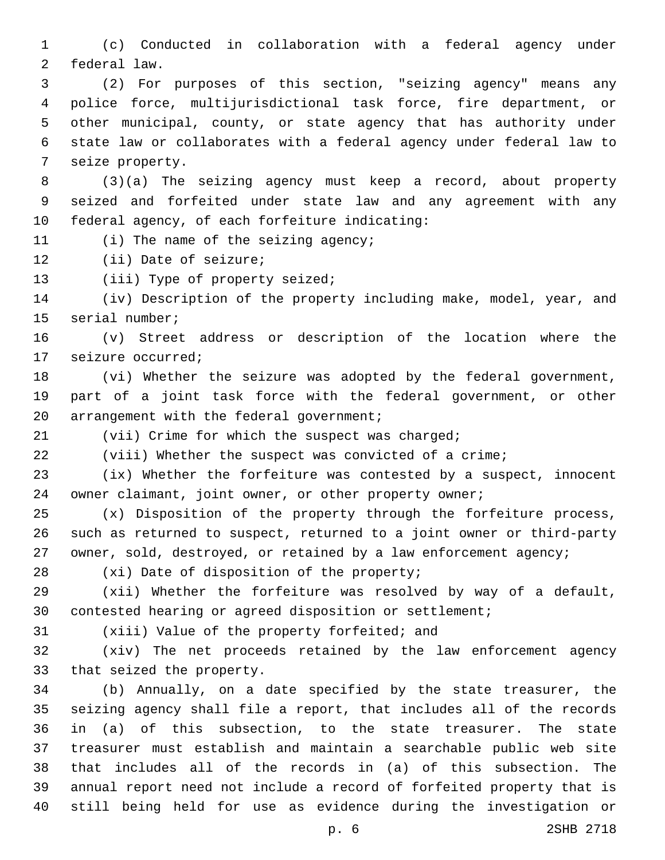(c) Conducted in collaboration with a federal agency under 2 federal law.

 (2) For purposes of this section, "seizing agency" means any police force, multijurisdictional task force, fire department, or other municipal, county, or state agency that has authority under state law or collaborates with a federal agency under federal law to 7 seize property.

 (3)(a) The seizing agency must keep a record, about property seized and forfeited under state law and any agreement with any 10 federal agency, of each forfeiture indicating:

11 (i) The name of the seizing agency;

12 (ii) Date of seizure;

13 (iii) Type of property seized;

 (iv) Description of the property including make, model, year, and 15 serial number;

 (v) Street address or description of the location where the 17 seizure occurred;

 (vi) Whether the seizure was adopted by the federal government, part of a joint task force with the federal government, or other 20 arrangement with the federal government;

21 (vii) Crime for which the suspect was charged;

(viii) Whether the suspect was convicted of a crime;

 (ix) Whether the forfeiture was contested by a suspect, innocent 24 owner claimant, joint owner, or other property owner;

 (x) Disposition of the property through the forfeiture process, such as returned to suspect, returned to a joint owner or third-party 27 owner, sold, destroyed, or retained by a law enforcement agency;

28 (xi) Date of disposition of the property;

 (xii) Whether the forfeiture was resolved by way of a default, contested hearing or agreed disposition or settlement;

31 (xiii) Value of the property forfeited; and

 (xiv) The net proceeds retained by the law enforcement agency 33 that seized the property.

 (b) Annually, on a date specified by the state treasurer, the seizing agency shall file a report, that includes all of the records in (a) of this subsection, to the state treasurer. The state treasurer must establish and maintain a searchable public web site that includes all of the records in (a) of this subsection. The annual report need not include a record of forfeited property that is still being held for use as evidence during the investigation or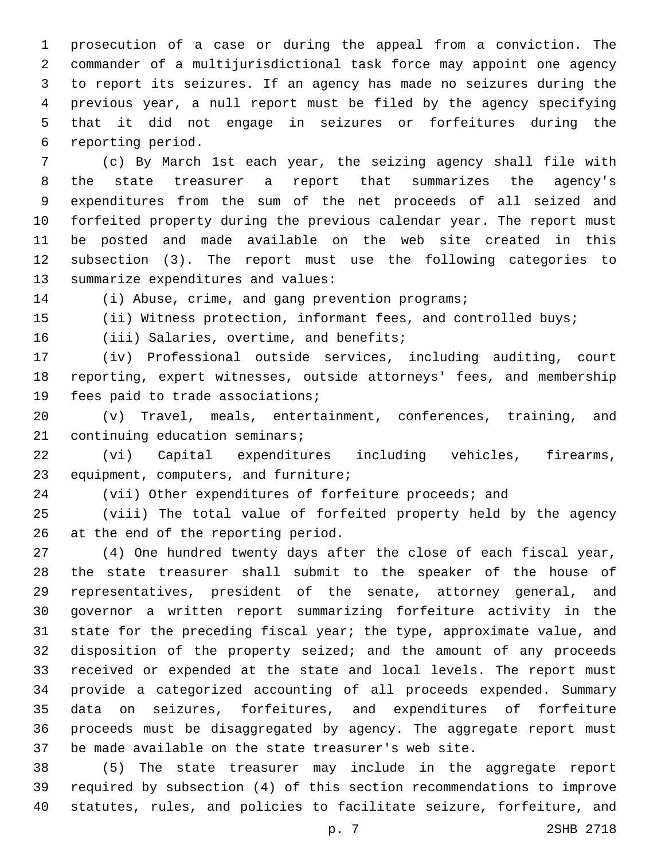prosecution of a case or during the appeal from a conviction. The commander of a multijurisdictional task force may appoint one agency to report its seizures. If an agency has made no seizures during the previous year, a null report must be filed by the agency specifying that it did not engage in seizures or forfeitures during the 6 reporting period.

 (c) By March 1st each year, the seizing agency shall file with the state treasurer a report that summarizes the agency's expenditures from the sum of the net proceeds of all seized and forfeited property during the previous calendar year. The report must be posted and made available on the web site created in this subsection (3). The report must use the following categories to 13 summarize expenditures and values:

(i) Abuse, crime, and gang prevention programs;

(ii) Witness protection, informant fees, and controlled buys;

16 (iii) Salaries, overtime, and benefits;

 (iv) Professional outside services, including auditing, court reporting, expert witnesses, outside attorneys' fees, and membership 19 fees paid to trade associations;

 (v) Travel, meals, entertainment, conferences, training, and 21 continuing education seminars;

 (vi) Capital expenditures including vehicles, firearms, 23 equipment, computers, and furniture;

(vii) Other expenditures of forfeiture proceeds; and

 (viii) The total value of forfeited property held by the agency 26 at the end of the reporting period.

 (4) One hundred twenty days after the close of each fiscal year, the state treasurer shall submit to the speaker of the house of representatives, president of the senate, attorney general, and governor a written report summarizing forfeiture activity in the state for the preceding fiscal year; the type, approximate value, and disposition of the property seized; and the amount of any proceeds received or expended at the state and local levels. The report must provide a categorized accounting of all proceeds expended. Summary data on seizures, forfeitures, and expenditures of forfeiture proceeds must be disaggregated by agency. The aggregate report must be made available on the state treasurer's web site.

 (5) The state treasurer may include in the aggregate report required by subsection (4) of this section recommendations to improve statutes, rules, and policies to facilitate seizure, forfeiture, and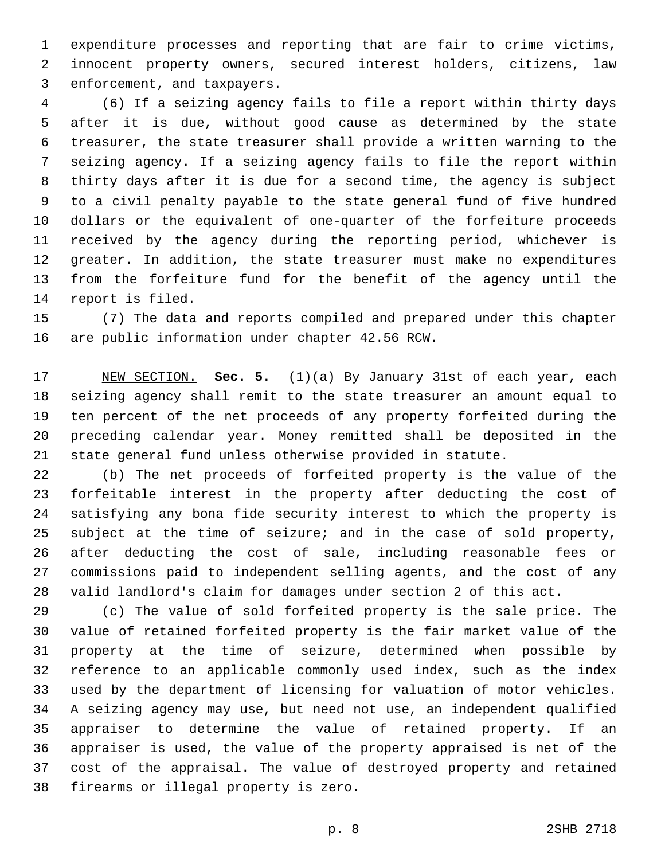expenditure processes and reporting that are fair to crime victims, innocent property owners, secured interest holders, citizens, law 3 enforcement, and taxpayers.

 (6) If a seizing agency fails to file a report within thirty days after it is due, without good cause as determined by the state treasurer, the state treasurer shall provide a written warning to the seizing agency. If a seizing agency fails to file the report within thirty days after it is due for a second time, the agency is subject to a civil penalty payable to the state general fund of five hundred dollars or the equivalent of one-quarter of the forfeiture proceeds received by the agency during the reporting period, whichever is greater. In addition, the state treasurer must make no expenditures from the forfeiture fund for the benefit of the agency until the 14 report is filed.

 (7) The data and reports compiled and prepared under this chapter 16 are public information under chapter 42.56 RCW.

 NEW SECTION. **Sec. 5.** (1)(a) By January 31st of each year, each seizing agency shall remit to the state treasurer an amount equal to ten percent of the net proceeds of any property forfeited during the preceding calendar year. Money remitted shall be deposited in the state general fund unless otherwise provided in statute.

 (b) The net proceeds of forfeited property is the value of the forfeitable interest in the property after deducting the cost of satisfying any bona fide security interest to which the property is subject at the time of seizure; and in the case of sold property, after deducting the cost of sale, including reasonable fees or commissions paid to independent selling agents, and the cost of any valid landlord's claim for damages under section 2 of this act.

 (c) The value of sold forfeited property is the sale price. The value of retained forfeited property is the fair market value of the property at the time of seizure, determined when possible by reference to an applicable commonly used index, such as the index used by the department of licensing for valuation of motor vehicles. A seizing agency may use, but need not use, an independent qualified appraiser to determine the value of retained property. If an appraiser is used, the value of the property appraised is net of the cost of the appraisal. The value of destroyed property and retained 38 firearms or illegal property is zero.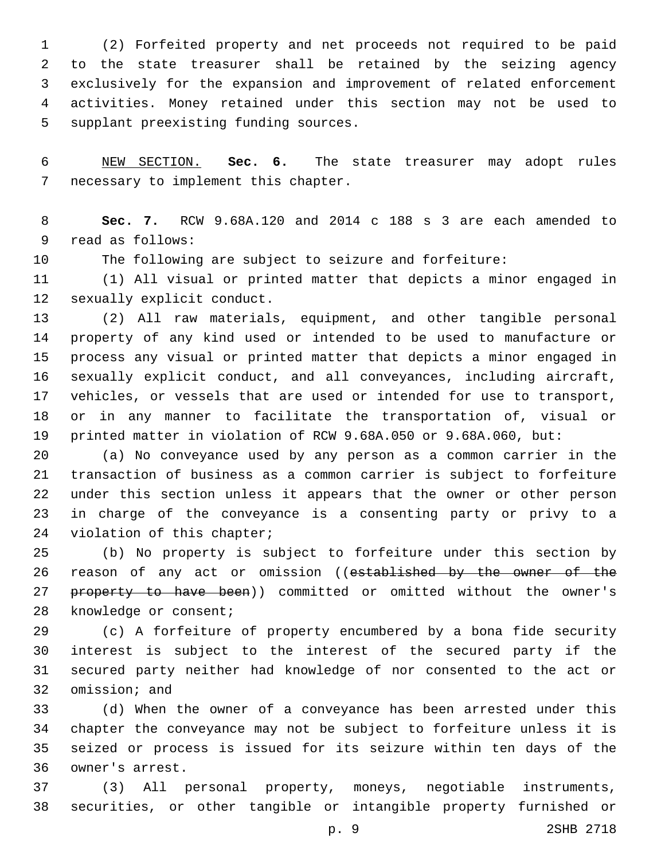(2) Forfeited property and net proceeds not required to be paid to the state treasurer shall be retained by the seizing agency exclusively for the expansion and improvement of related enforcement activities. Money retained under this section may not be used to 5 supplant preexisting funding sources.

 NEW SECTION. **Sec. 6.** The state treasurer may adopt rules necessary to implement this chapter.

 **Sec. 7.** RCW 9.68A.120 and 2014 c 188 s 3 are each amended to 9 read as follows:

The following are subject to seizure and forfeiture:

 (1) All visual or printed matter that depicts a minor engaged in 12 sexually explicit conduct.

 (2) All raw materials, equipment, and other tangible personal property of any kind used or intended to be used to manufacture or process any visual or printed matter that depicts a minor engaged in sexually explicit conduct, and all conveyances, including aircraft, vehicles, or vessels that are used or intended for use to transport, or in any manner to facilitate the transportation of, visual or printed matter in violation of RCW 9.68A.050 or 9.68A.060, but:

 (a) No conveyance used by any person as a common carrier in the transaction of business as a common carrier is subject to forfeiture under this section unless it appears that the owner or other person in charge of the conveyance is a consenting party or privy to a 24 violation of this chapter;

 (b) No property is subject to forfeiture under this section by 26 reason of any act or omission ((established by the owner of the 27 property to have been)) committed or omitted without the owner's 28 knowledge or consent;

 (c) A forfeiture of property encumbered by a bona fide security interest is subject to the interest of the secured party if the secured party neither had knowledge of nor consented to the act or 32 omission; and

 (d) When the owner of a conveyance has been arrested under this chapter the conveyance may not be subject to forfeiture unless it is seized or process is issued for its seizure within ten days of the 36 owner's arrest.

 (3) All personal property, moneys, negotiable instruments, securities, or other tangible or intangible property furnished or

p. 9 2SHB 2718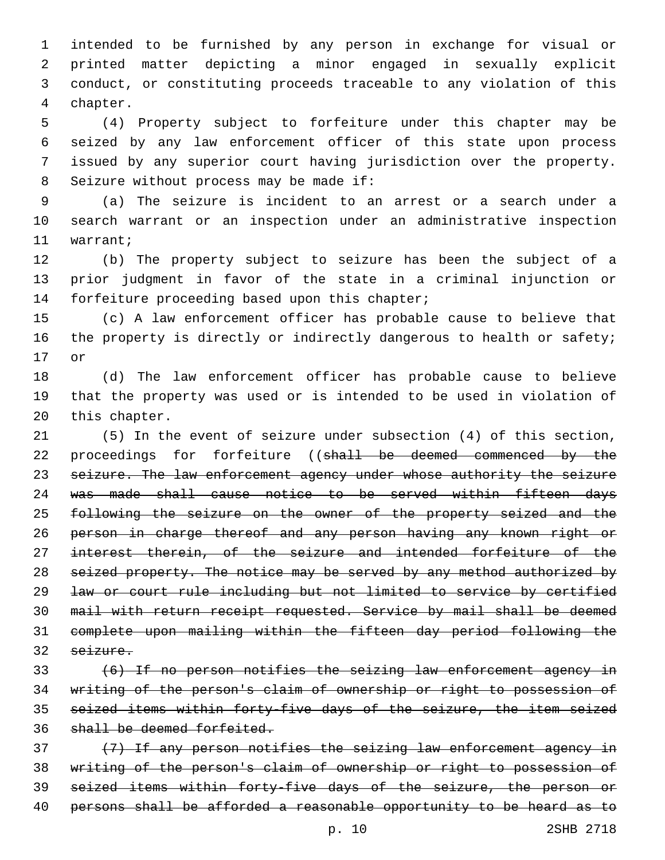intended to be furnished by any person in exchange for visual or printed matter depicting a minor engaged in sexually explicit conduct, or constituting proceeds traceable to any violation of this 4 chapter.

 (4) Property subject to forfeiture under this chapter may be seized by any law enforcement officer of this state upon process issued by any superior court having jurisdiction over the property. 8 Seizure without process may be made if:

 (a) The seizure is incident to an arrest or a search under a search warrant or an inspection under an administrative inspection 11 warrant;

 (b) The property subject to seizure has been the subject of a prior judgment in favor of the state in a criminal injunction or 14 forfeiture proceeding based upon this chapter;

 (c) A law enforcement officer has probable cause to believe that 16 the property is directly or indirectly dangerous to health or safety; 17 or

 (d) The law enforcement officer has probable cause to believe that the property was used or is intended to be used in violation of 20 this chapter.

 (5) In the event of seizure under subsection (4) of this section, 22 proceedings for forfeiture ((shall be deemed commenced by the 23 seizure. The law enforcement agency under whose authority the seizure was made shall cause notice to be served within fifteen days following the seizure on the owner of the property seized and the person in charge thereof and any person having any known right or interest therein, of the seizure and intended forfeiture of the 28 seized property. The notice may be served by any method authorized by law or court rule including but not limited to service by certified mail with return receipt requested. Service by mail shall be deemed complete upon mailing within the fifteen day period following the seizure.

 (6) If no person notifies the seizing law enforcement agency in writing of the person's claim of ownership or right to possession of seized items within forty-five days of the seizure, the item seized shall be deemed forfeited.

 (7) If any person notifies the seizing law enforcement agency in writing of the person's claim of ownership or right to possession of seized items within forty-five days of the seizure, the person or 40 persons shall be afforded a reasonable opportunity to be heard as to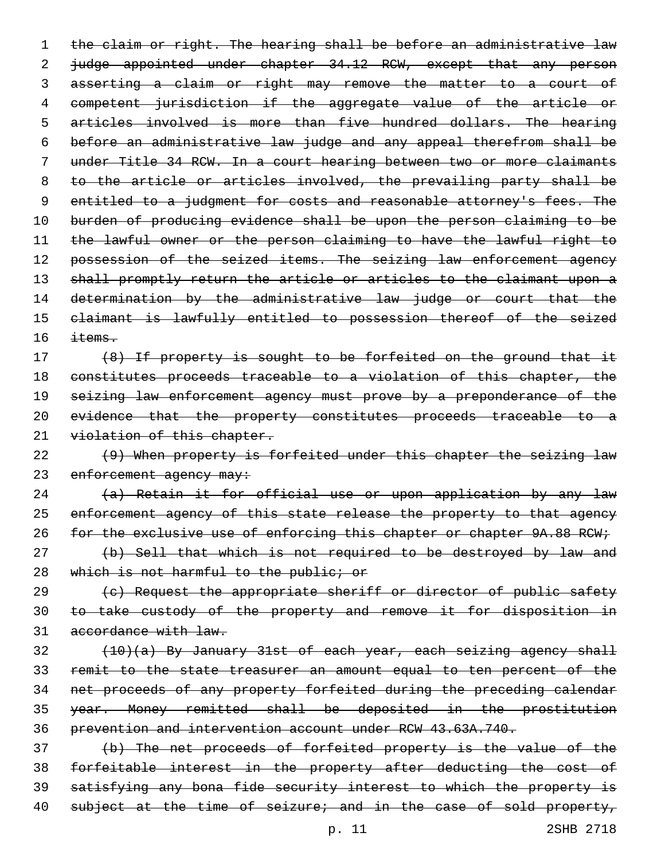1 the claim or right. The hearing shall be before an administrative law 2 judge appointed under chapter 34.12 RCW, except that any person asserting a claim or right may remove the matter to a court of competent jurisdiction if the aggregate value of the article or articles involved is more than five hundred dollars. The hearing before an administrative law judge and any appeal therefrom shall be under Title 34 RCW. In a court hearing between two or more claimants to the article or articles involved, the prevailing party shall be 9 entitled to a judgment for costs and reasonable attorney's fees. The burden of producing evidence shall be upon the person claiming to be the lawful owner or the person claiming to have the lawful right to 12 possession of the seized items. The seizing law enforcement agency 13 shall promptly return the article or articles to the claimant upon a 14 determination by the administrative law judge or court that the claimant is lawfully entitled to possession thereof of the seized  $\text{items}.$ 

17 (8) If property is sought to be forfeited on the ground that it constitutes proceeds traceable to a violation of this chapter, the 19 seizing law enforcement agency must prove by a preponderance of the evidence that the property constitutes proceeds traceable to a 21 violation of this chapter.

 (9) When property is forfeited under this chapter the seizing law 23 enforcement agency may:

 (a) Retain it for official use or upon application by any law 25 enforcement agency of this state release the property to that agency 26 for the exclusive use of enforcing this chapter or chapter 9A.88 RCW;

 (b) Sell that which is not required to be destroyed by law and 28 which is not harmful to the public; or

29 (c) Request the appropriate sheriff or director of public safety to take custody of the property and remove it for disposition in accordance with law.

 (10)(a) By January 31st of each year, each seizing agency shall remit to the state treasurer an amount equal to ten percent of the net proceeds of any property forfeited during the preceding calendar year. Money remitted shall be deposited in the prostitution prevention and intervention account under RCW 43.63A.740.

 (b) The net proceeds of forfeited property is the value of the forfeitable interest in the property after deducting the cost of satisfying any bona fide security interest to which the property is 40 subject at the time of seizure; and in the case of sold property,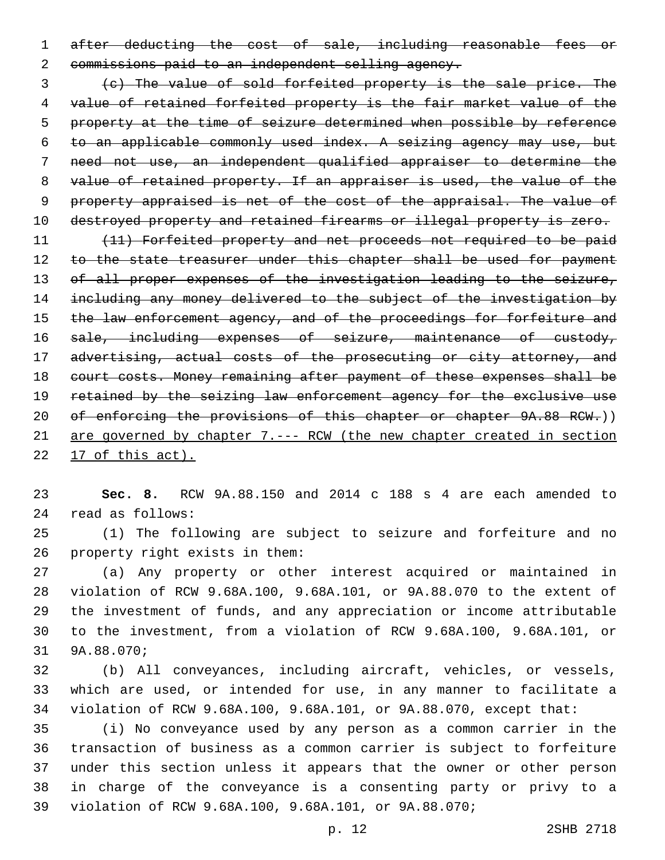after deducting the cost of sale, including reasonable fees or 2 commissions paid to an independent selling agency.

 (c) The value of sold forfeited property is the sale price. The value of retained forfeited property is the fair market value of the property at the time of seizure determined when possible by reference to an applicable commonly used index. A seizing agency may use, but need not use, an independent qualified appraiser to determine the value of retained property. If an appraiser is used, the value of the property appraised is net of the cost of the appraisal. The value of 10 destroyed property and retained firearms or illegal property is zero.

 (11) Forfeited property and net proceeds not required to be paid 12 to the state treasurer under this chapter shall be used for payment of all proper expenses of the investigation leading to the seizure, including any money delivered to the subject of the investigation by 15 the law enforcement agency, and of the proceedings for forfeiture and 16 sale, including expenses of seizure, maintenance of custody, 17 advertising, actual costs of the prosecuting or city attorney, and court costs. Money remaining after payment of these expenses shall be retained by the seizing law enforcement agency for the exclusive use 20 of enforcing the provisions of this chapter or chapter 9A.88 RCW.)) are governed by chapter 7.--- RCW (the new chapter created in section 17 of this act).

 **Sec. 8.** RCW 9A.88.150 and 2014 c 188 s 4 are each amended to read as follows:24

 (1) The following are subject to seizure and forfeiture and no 26 property right exists in them:

 (a) Any property or other interest acquired or maintained in violation of RCW 9.68A.100, 9.68A.101, or 9A.88.070 to the extent of the investment of funds, and any appreciation or income attributable to the investment, from a violation of RCW 9.68A.100, 9.68A.101, or 31 9A.88.070;

 (b) All conveyances, including aircraft, vehicles, or vessels, which are used, or intended for use, in any manner to facilitate a violation of RCW 9.68A.100, 9.68A.101, or 9A.88.070, except that:

 (i) No conveyance used by any person as a common carrier in the transaction of business as a common carrier is subject to forfeiture under this section unless it appears that the owner or other person in charge of the conveyance is a consenting party or privy to a violation of RCW 9.68A.100, 9.68A.101, or 9A.88.070;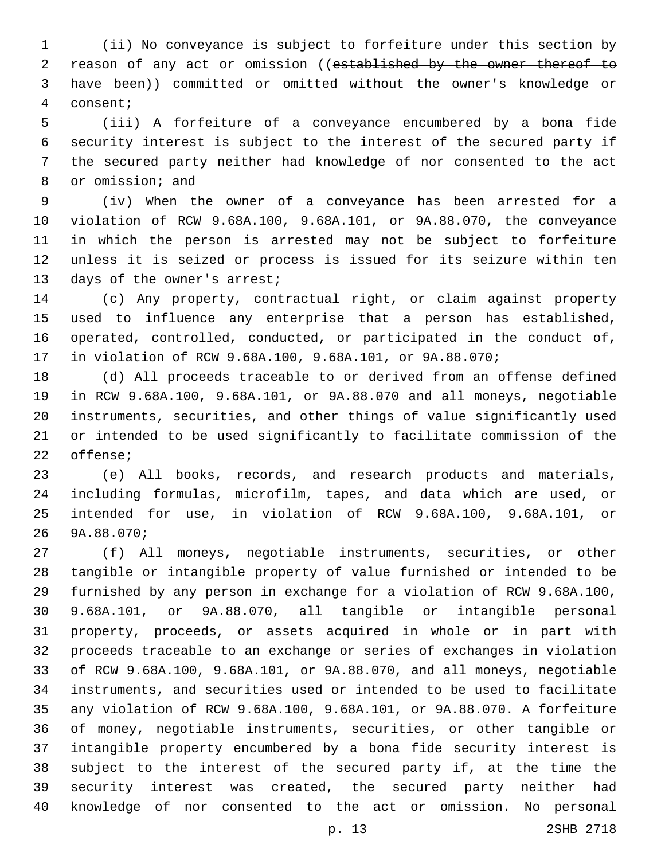(ii) No conveyance is subject to forfeiture under this section by 2 reason of any act or omission ((established by the owner thereof to have been)) committed or omitted without the owner's knowledge or consent;4

 (iii) A forfeiture of a conveyance encumbered by a bona fide security interest is subject to the interest of the secured party if the secured party neither had knowledge of nor consented to the act 8 or omission; and

 (iv) When the owner of a conveyance has been arrested for a violation of RCW 9.68A.100, 9.68A.101, or 9A.88.070, the conveyance in which the person is arrested may not be subject to forfeiture unless it is seized or process is issued for its seizure within ten 13 days of the owner's arrest;

 (c) Any property, contractual right, or claim against property used to influence any enterprise that a person has established, operated, controlled, conducted, or participated in the conduct of, in violation of RCW 9.68A.100, 9.68A.101, or 9A.88.070;

 (d) All proceeds traceable to or derived from an offense defined in RCW 9.68A.100, 9.68A.101, or 9A.88.070 and all moneys, negotiable instruments, securities, and other things of value significantly used or intended to be used significantly to facilitate commission of the 22 offense;

 (e) All books, records, and research products and materials, including formulas, microfilm, tapes, and data which are used, or intended for use, in violation of RCW 9.68A.100, 9.68A.101, or 9A.88.070;26

 (f) All moneys, negotiable instruments, securities, or other tangible or intangible property of value furnished or intended to be furnished by any person in exchange for a violation of RCW 9.68A.100, 9.68A.101, or 9A.88.070, all tangible or intangible personal property, proceeds, or assets acquired in whole or in part with proceeds traceable to an exchange or series of exchanges in violation of RCW 9.68A.100, 9.68A.101, or 9A.88.070, and all moneys, negotiable instruments, and securities used or intended to be used to facilitate any violation of RCW 9.68A.100, 9.68A.101, or 9A.88.070. A forfeiture of money, negotiable instruments, securities, or other tangible or intangible property encumbered by a bona fide security interest is subject to the interest of the secured party if, at the time the security interest was created, the secured party neither had knowledge of nor consented to the act or omission. No personal

p. 13 2SHB 2718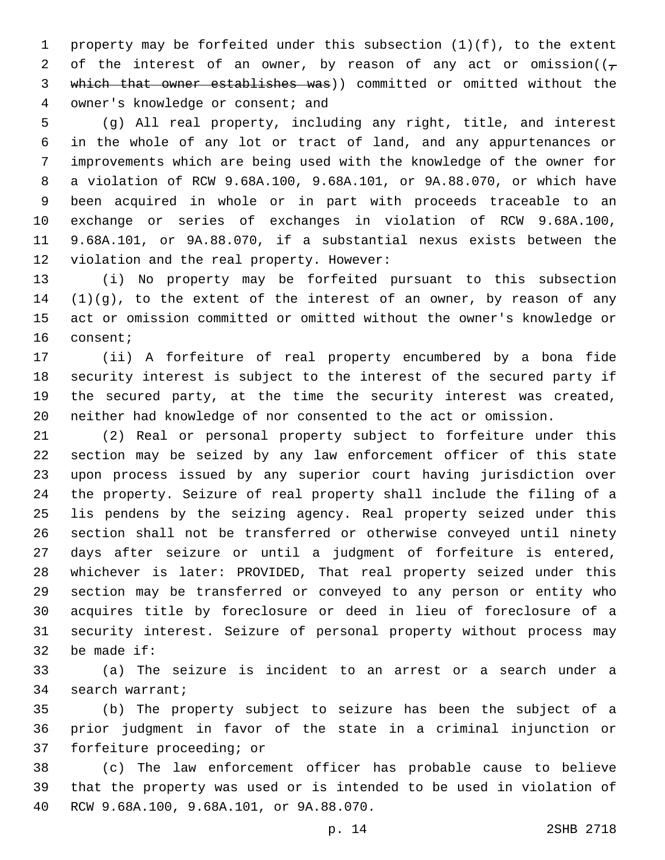property may be forfeited under this subsection (1)(f), to the extent 2 of the interest of an owner, by reason of any act or omission( $(\tau$  which that owner establishes was)) committed or omitted without the 4 owner's knowledge or consent; and

 (g) All real property, including any right, title, and interest in the whole of any lot or tract of land, and any appurtenances or improvements which are being used with the knowledge of the owner for a violation of RCW 9.68A.100, 9.68A.101, or 9A.88.070, or which have been acquired in whole or in part with proceeds traceable to an exchange or series of exchanges in violation of RCW 9.68A.100, 9.68A.101, or 9A.88.070, if a substantial nexus exists between the 12 violation and the real property. However:

 (i) No property may be forfeited pursuant to this subsection (1)(g), to the extent of the interest of an owner, by reason of any act or omission committed or omitted without the owner's knowledge or 16 consent;

 (ii) A forfeiture of real property encumbered by a bona fide security interest is subject to the interest of the secured party if the secured party, at the time the security interest was created, neither had knowledge of nor consented to the act or omission.

 (2) Real or personal property subject to forfeiture under this section may be seized by any law enforcement officer of this state upon process issued by any superior court having jurisdiction over the property. Seizure of real property shall include the filing of a lis pendens by the seizing agency. Real property seized under this section shall not be transferred or otherwise conveyed until ninety days after seizure or until a judgment of forfeiture is entered, whichever is later: PROVIDED, That real property seized under this section may be transferred or conveyed to any person or entity who acquires title by foreclosure or deed in lieu of foreclosure of a security interest. Seizure of personal property without process may 32 be made if:

 (a) The seizure is incident to an arrest or a search under a 34 search warrant;

 (b) The property subject to seizure has been the subject of a prior judgment in favor of the state in a criminal injunction or 37 forfeiture proceeding; or

 (c) The law enforcement officer has probable cause to believe that the property was used or is intended to be used in violation of RCW 9.68A.100, 9.68A.101, or 9A.88.070.40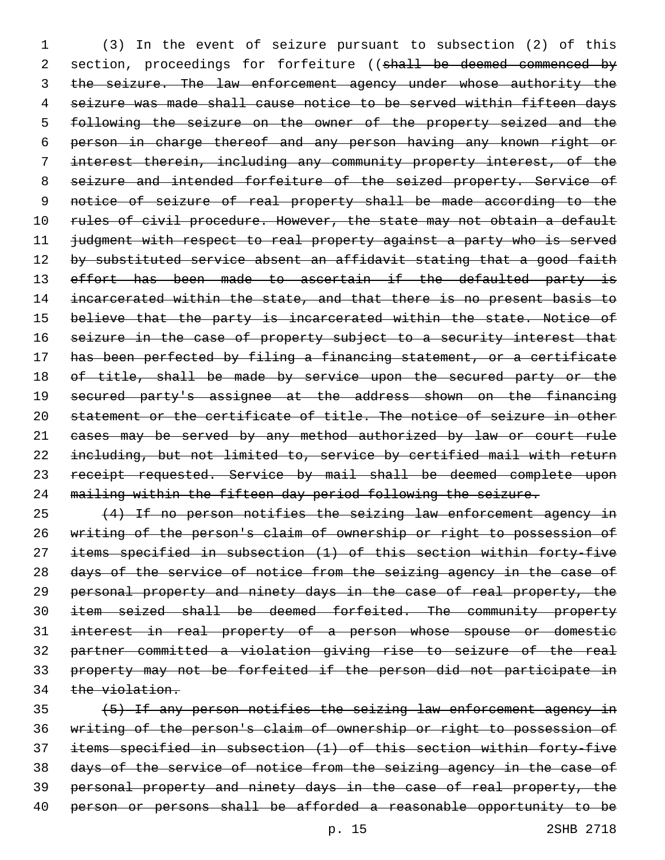(3) In the event of seizure pursuant to subsection (2) of this 2 section, proceedings for forfeiture ((shall be deemed commenced by 3 the seizure. The law enforcement agency under whose authority the seizure was made shall cause notice to be served within fifteen days following the seizure on the owner of the property seized and the person in charge thereof and any person having any known right or interest therein, including any community property interest, of the seizure and intended forfeiture of the seized property. Service of 9 notice of seizure of real property shall be made according to the 10 rules of civil procedure. However, the state may not obtain a default judgment with respect to real property against a party who is served 12 by substituted service absent an affidavit stating that a good faith 13 effort has been made to ascertain if the defaulted party is 14 incarcerated within the state, and that there is no present basis to believe that the party is incarcerated within the state. Notice of 16 seizure in the case of property subject to a security interest that has been perfected by filing a financing statement, or a certificate 18 of title, shall be made by service upon the secured party or the 19 secured party's assignee at the address shown on the financing statement or the certificate of title. The notice of seizure in other 21 eases may be served by any method authorized by law or court rule including, but not limited to, service by certified mail with return 23 receipt requested. Service by mail shall be deemed complete upon mailing within the fifteen day period following the seizure.

 (4) If no person notifies the seizing law enforcement agency in writing of the person's claim of ownership or right to possession of items specified in subsection (1) of this section within forty-five 28 days of the service of notice from the seizing agency in the case of personal property and ninety days in the case of real property, the item seized shall be deemed forfeited. The community property interest in real property of a person whose spouse or domestic partner committed a violation giving rise to seizure of the real property may not be forfeited if the person did not participate in 34 the violation.

 (5) If any person notifies the seizing law enforcement agency in writing of the person's claim of ownership or right to possession of items specified in subsection (1) of this section within forty-five days of the service of notice from the seizing agency in the case of personal property and ninety days in the case of real property, the 40 person or persons shall be afforded a reasonable opportunity to be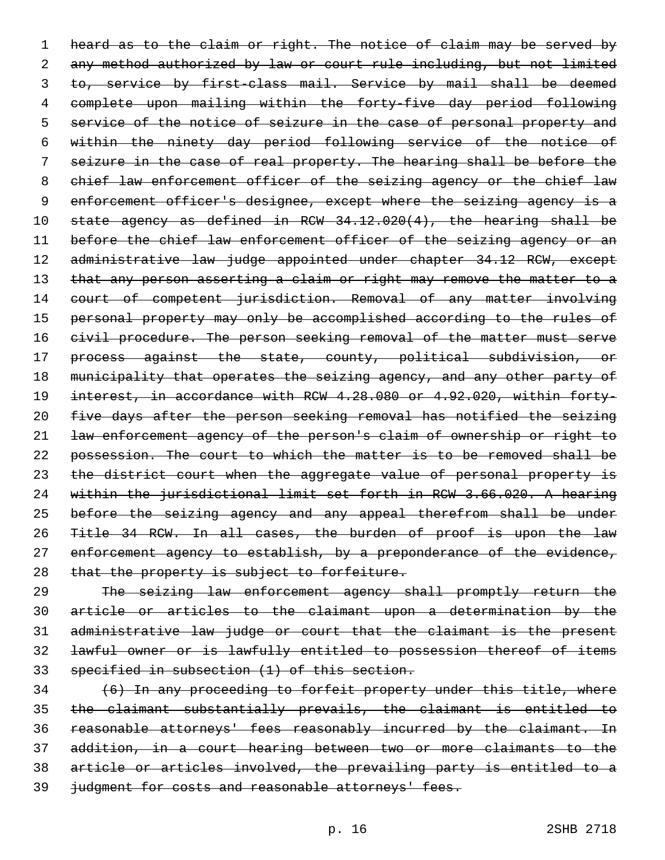1 heard as to the claim or right. The notice of claim may be served by 2 any method authorized by law or court rule including, but not limited 3 to, service by first-class mail. Service by mail shall be deemed 4 complete upon mailing within the forty-five day period following 5 service of the notice of seizure in the case of personal property and 6 within the ninety day period following service of the notice of 7 seizure in the case of real property. The hearing shall be before the 8 chief law enforcement officer of the seizing agency or the chief law 9 enforcement officer's designee, except where the seizing agency is a 10 state agency as defined in RCW 34.12.020(4), the hearing shall be 11 before the chief law enforcement officer of the seizing agency or an 12 administrative law judge appointed under chapter 34.12 RCW, except 13 that any person asserting a claim or right may remove the matter to a 14 court of competent jurisdiction. Removal of any matter involving 15 personal property may only be accomplished according to the rules of 16 civil procedure. The person seeking removal of the matter must serve 17 process against the state, county, political subdivision, or 18 municipality that operates the seizing agency, and any other party of 19 interest, in accordance with RCW 4.28.080 or 4.92.020, within forty-20 five days after the person seeking removal has notified the seizing 21 law enforcement agency of the person's claim of ownership or right to 22 possession. The court to which the matter is to be removed shall be 23 the district court when the aggregate value of personal property is 24 within the jurisdictional limit set forth in RCW 3.66.020. A hearing 25 before the seizing agency and any appeal therefrom shall be under 26 Title 34 RCW. In all cases, the burden of proof is upon the law 27 enforcement agency to establish, by a preponderance of the evidence, 28 that the property is subject to forfeiture.

 The seizing law enforcement agency shall promptly return the article or articles to the claimant upon a determination by the administrative law judge or court that the claimant is the present lawful owner or is lawfully entitled to possession thereof of items specified in subsection (1) of this section.

 (6) In any proceeding to forfeit property under this title, where the claimant substantially prevails, the claimant is entitled to reasonable attorneys' fees reasonably incurred by the claimant. In addition, in a court hearing between two or more claimants to the article or articles involved, the prevailing party is entitled to a 39 judgment for costs and reasonable attorneys' fees.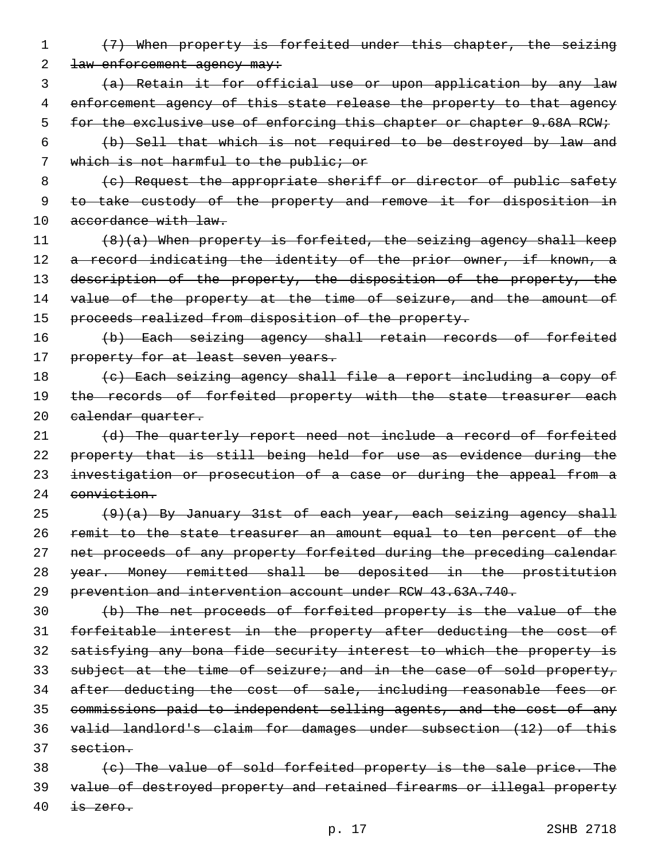- 1 (7) When property is forfeited under this chapter, the seizing 2 <del>law enforcement agency may:</del>
- 3 (a) Retain it for official use or upon application by any law 4 enforcement agency of this state release the property to that agency 5 for the exclusive use of enforcing this chapter or chapter 9.68A RCW;
- 6 (b) Sell that which is not required to be destroyed by law and 7 which is not harmful to the public; or
- 8 (e) Request the appropriate sheriff or director of public safety 9 to take custody of the property and remove it for disposition in 10 accordance with law.
- 11  $(8)(a)$  When property is forfeited, the seizing agency shall keep 12 a record indicating the identity of the prior owner, if known, a 13 description of the property, the disposition of the property, the 14 value of the property at the time of seizure, and the amount of 15 proceeds realized from disposition of the property.
- 16 (b) Each seizing agency shall retain records of forfeited 17 property for at least seven years.
- 18 (c) Each seizing agency shall file a report including a copy of 19 the records of forfeited property with the state treasurer each 20 calendar quarter.
- 21 (d) The quarterly report need not include a record of forfeited 22 property that is still being held for use as evidence during the 23 investigation or prosecution of a case or during the appeal from a 24 conviction.
- $(9)(a)$  By January 31st of each year, each seizing agency shall 26 remit to the state treasurer an amount equal to ten percent of the 27 net proceeds of any property forfeited during the preceding calendar 28 year. Money remitted shall be deposited in the prostitution 29 prevention and intervention account under RCW 43.63A.740.
- 30 (b) The net proceeds of forfeited property is the value of the 31 forfeitable interest in the property after deducting the cost of 32 satisfying any bona fide security interest to which the property is 33 subject at the time of seizure; and in the case of sold property, 34 after deducting the cost of sale, including reasonable fees or 35 commissions paid to independent selling agents, and the cost of any 36 valid landlord's claim for damages under subsection (12) of this 37 section.
- 38 (c) The value of sold forfeited property is the sale price. The 39 value of destroyed property and retained firearms or illegal property  $40$  is zero.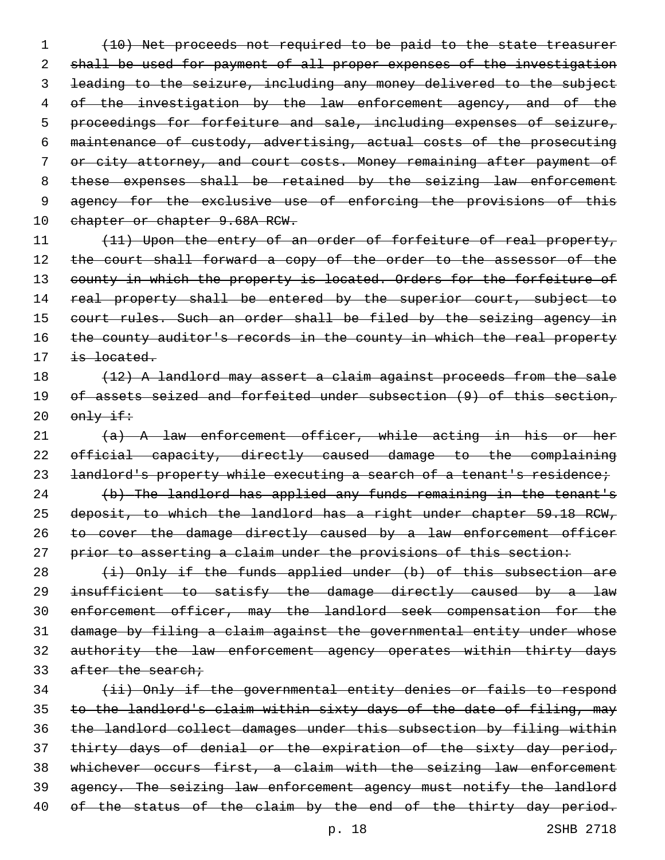1 (10) Net proceeds not required to be paid to the state treasurer 2 shall be used for payment of all proper expenses of the investigation 3 leading to the seizure, including any money delivered to the subject 4 of the investigation by the law enforcement agency, and of the 5 proceedings for forfeiture and sale, including expenses of seizure, 6 maintenance of custody, advertising, actual costs of the prosecuting 7 or city attorney, and court costs. Money remaining after payment of 8 these expenses shall be retained by the seizing law enforcement 9 agency for the exclusive use of enforcing the provisions of this 10 chapter or chapter 9.68A RCW.

11 (11) Upon the entry of an order of forfeiture of real property, 12 the court shall forward a copy of the order to the assessor of the 13 county in which the property is located. Orders for the forfeiture of 14 real property shall be entered by the superior court, subject to 15 court rules. Such an order shall be filed by the seizing agency in 16 the county auditor's records in the county in which the real property 17 is located.

## 18 (12) A landlord may assert a claim against proceeds from the sale 19 of assets seized and forfeited under subsection (9) of this section,  $20$   $\theta$ mly if:

 $(a)$  A law enforcement officer, while acting in his or her official capacity, directly caused damage to the complaining 23 landlord's property while executing a search of a tenant's residence; (b) The landlord has applied any funds remaining in the tenant's deposit, to which the landlord has a right under chapter 59.18 RCW, 26 to cover the damage directly caused by a law enforcement officer

27 prior to asserting a claim under the provisions of this section:

 $(i)$  Only if the funds applied under (b) of this subsection are insufficient to satisfy the damage directly caused by a law enforcement officer, may the landlord seek compensation for the damage by filing a claim against the governmental entity under whose 32 authority the law enforcement agency operates within thirty days 33 after the search;

 (ii) Only if the governmental entity denies or fails to respond to the landlord's claim within sixty days of the date of filing, may the landlord collect damages under this subsection by filing within 37 thirty days of denial or the expiration of the sixty day period, whichever occurs first, a claim with the seizing law enforcement agency. The seizing law enforcement agency must notify the landlord 40 of the status of the claim by the end of the thirty day period.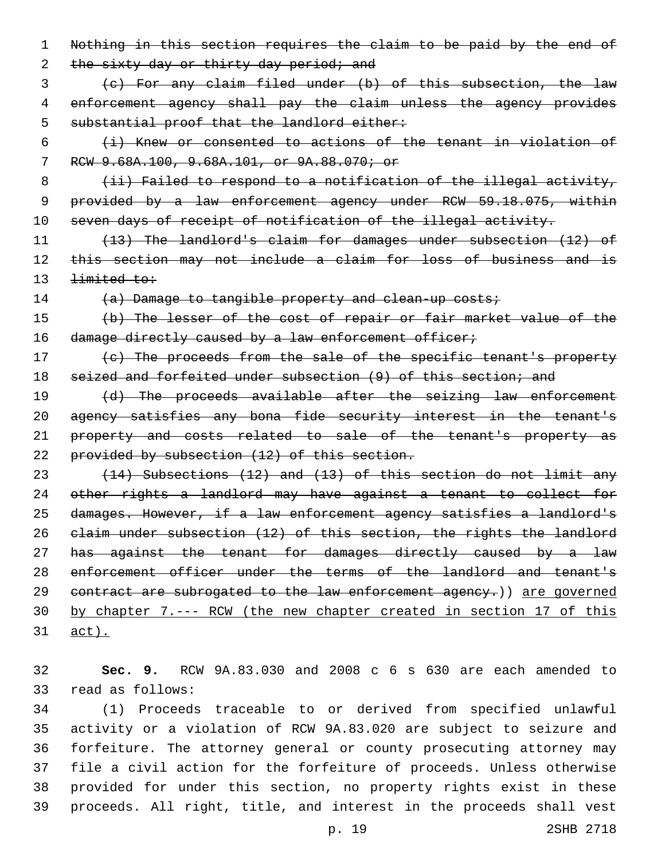1 Nothing in this section requires the claim to be paid by the end of 2 the sixty day or thirty day period; and 3 (c) For any claim filed under (b) of this subsection, the law 4 enforcement agency shall pay the claim unless the agency provides 5 substantial proof that the landlord either:  $6$  (i) Knew or consented to actions of the tenant in violation of 7 RCW 9.68A.100, 9.68A.101, or 9A.88.070; or 8 (ii) Failed to respond to a notification of the illegal activity, 9 provided by a law enforcement agency under RCW 59.18.075, within 10 seven days of receipt of notification of the illegal activity. 11 (13) The landlord's claim for damages under subsection (12) of 12 this section may not include a claim for loss of business and is 13 <del>limited to:</del> 14 (a) Damage to tangible property and clean-up costs; 15 (b) The lesser of the cost of repair or fair market value of the 16 damage directly caused by a law enforcement officer; 17 (c) The proceeds from the sale of the specific tenant's property 18 seized and forfeited under subsection (9) of this section; and 19 (d) The proceeds available after the seizing law enforcement 20 agency satisfies any bona fide security interest in the tenant's 21 property and costs related to sale of the tenant's property as 22 provided by subsection (12) of this section. 23 (14) Subsections (12) and (13) of this section do not limit any 24 other rights a landlord may have against a tenant to collect for 25 damages. However, if a law enforcement agency satisfies a landlord's 26 claim under subsection (12) of this section, the rights the landlord 27 has against the tenant for damages directly caused by a law 28 enforcement officer under the terms of the landlord and tenant's 29 contract are subrogated to the law enforcement agency.) are governed 30 by chapter 7.--- RCW (the new chapter created in section 17 of this 31 act).

32 **Sec. 9.** RCW 9A.83.030 and 2008 c 6 s 630 are each amended to 33 read as follows:

 (1) Proceeds traceable to or derived from specified unlawful activity or a violation of RCW 9A.83.020 are subject to seizure and forfeiture. The attorney general or county prosecuting attorney may file a civil action for the forfeiture of proceeds. Unless otherwise provided for under this section, no property rights exist in these proceeds. All right, title, and interest in the proceeds shall vest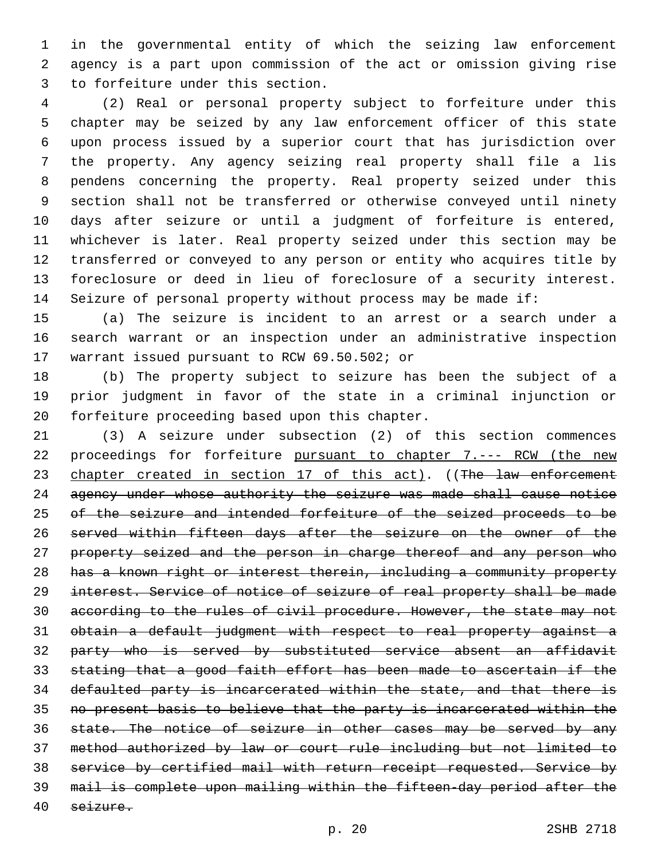in the governmental entity of which the seizing law enforcement agency is a part upon commission of the act or omission giving rise 3 to forfeiture under this section.

 (2) Real or personal property subject to forfeiture under this chapter may be seized by any law enforcement officer of this state upon process issued by a superior court that has jurisdiction over the property. Any agency seizing real property shall file a lis pendens concerning the property. Real property seized under this section shall not be transferred or otherwise conveyed until ninety days after seizure or until a judgment of forfeiture is entered, whichever is later. Real property seized under this section may be transferred or conveyed to any person or entity who acquires title by foreclosure or deed in lieu of foreclosure of a security interest. Seizure of personal property without process may be made if:

 (a) The seizure is incident to an arrest or a search under a search warrant or an inspection under an administrative inspection 17 warrant issued pursuant to RCW 69.50.502; or

 (b) The property subject to seizure has been the subject of a prior judgment in favor of the state in a criminal injunction or 20 forfeiture proceeding based upon this chapter.

 (3) A seizure under subsection (2) of this section commences 22 proceedings for forfeiture pursuant to chapter 7.--- RCW (the new 23 chapter created in section 17 of this act). ((The law enforcement 24 agency under whose authority the seizure was made shall cause notice 25 of the seizure and intended forfeiture of the seized proceeds to be served within fifteen days after the seizure on the owner of the 27 property seized and the person in charge thereof and any person who has a known right or interest therein, including a community property interest. Service of notice of seizure of real property shall be made according to the rules of civil procedure. However, the state may not obtain a default judgment with respect to real property against a party who is served by substituted service absent an affidavit stating that a good faith effort has been made to ascertain if the defaulted party is incarcerated within the state, and that there is no present basis to believe that the party is incarcerated within the 36 state. The notice of seizure in other cases may be served by any method authorized by law or court rule including but not limited to service by certified mail with return receipt requested. Service by mail is complete upon mailing within the fifteen-day period after the seizure.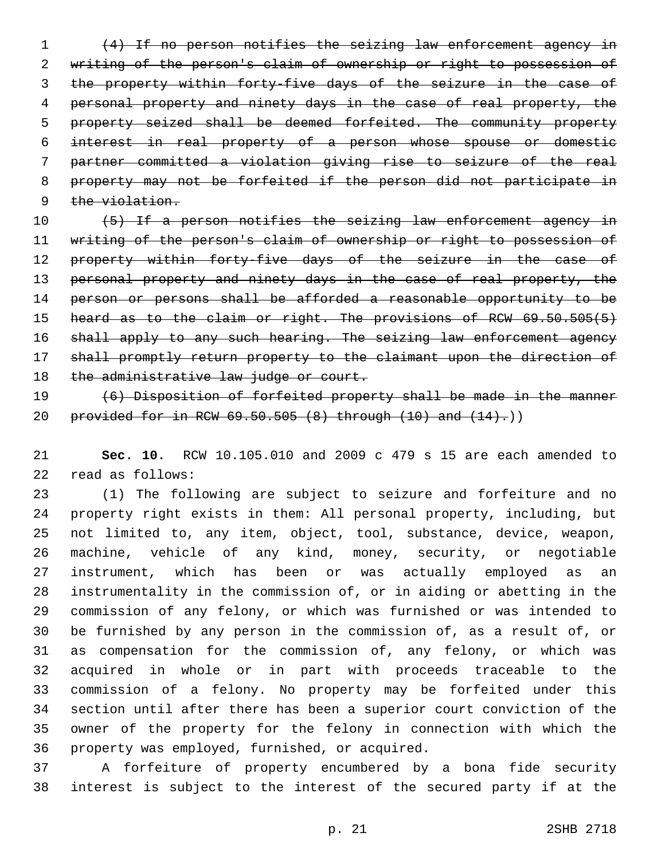(4) If no person notifies the seizing law enforcement agency in writing of the person's claim of ownership or right to possession of the property within forty-five days of the seizure in the case of personal property and ninety days in the case of real property, the property seized shall be deemed forfeited. The community property interest in real property of a person whose spouse or domestic partner committed a violation giving rise to seizure of the real property may not be forfeited if the person did not participate in 9 the violation.

 (5) If a person notifies the seizing law enforcement agency in writing of the person's claim of ownership or right to possession of 12 property within forty-five days of the seizure in the case of 13 personal property and ninety days in the case of real property, the 14 person or persons shall be afforded a reasonable opportunity to be 15 heard as to the claim or right. The provisions of RCW 69.50.505(5) 16 shall apply to any such hearing. The seizing law enforcement agency shall promptly return property to the claimant upon the direction of 18 the administrative law judge or court.

 (6) Disposition of forfeited property shall be made in the manner 20 provided for in RCW  $69.50.505$   $(8)$  through  $(10)$  and  $(14)$ .)

 **Sec. 10.** RCW 10.105.010 and 2009 c 479 s 15 are each amended to 22 read as follows:

 (1) The following are subject to seizure and forfeiture and no property right exists in them: All personal property, including, but not limited to, any item, object, tool, substance, device, weapon, machine, vehicle of any kind, money, security, or negotiable instrument, which has been or was actually employed as an instrumentality in the commission of, or in aiding or abetting in the commission of any felony, or which was furnished or was intended to be furnished by any person in the commission of, as a result of, or as compensation for the commission of, any felony, or which was acquired in whole or in part with proceeds traceable to the commission of a felony. No property may be forfeited under this section until after there has been a superior court conviction of the owner of the property for the felony in connection with which the 36 property was employed, furnished, or acquired.

 A forfeiture of property encumbered by a bona fide security interest is subject to the interest of the secured party if at the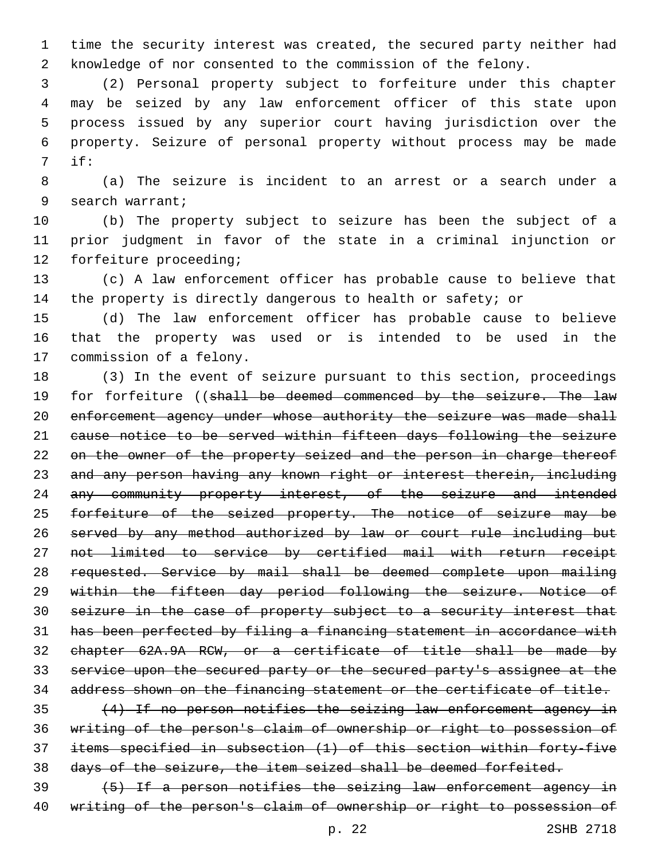time the security interest was created, the secured party neither had knowledge of nor consented to the commission of the felony.

 (2) Personal property subject to forfeiture under this chapter may be seized by any law enforcement officer of this state upon process issued by any superior court having jurisdiction over the property. Seizure of personal property without process may be made if:7

 (a) The seizure is incident to an arrest or a search under a 9 search warrant;

 (b) The property subject to seizure has been the subject of a prior judgment in favor of the state in a criminal injunction or 12 forfeiture proceeding;

 (c) A law enforcement officer has probable cause to believe that the property is directly dangerous to health or safety; or

 (d) The law enforcement officer has probable cause to believe that the property was used or is intended to be used in the 17 commission of a felony.

 (3) In the event of seizure pursuant to this section, proceedings 19 for forfeiture ((shall be deemed commenced by the seizure. The law 20 enforcement agency under whose authority the seizure was made shall cause notice to be served within fifteen days following the seizure 22 on the owner of the property seized and the person in charge thereof and any person having any known right or interest therein, including 24 any community property interest, of the seizure and intended 25 forfeiture of the seized property. The notice of seizure may be served by any method authorized by law or court rule including but not limited to service by certified mail with return receipt requested. Service by mail shall be deemed complete upon mailing within the fifteen day period following the seizure. Notice of seizure in the case of property subject to a security interest that has been perfected by filing a financing statement in accordance with chapter 62A.9A RCW, or a certificate of title shall be made by service upon the secured party or the secured party's assignee at the address shown on the financing statement or the certificate of title.

 (4) If no person notifies the seizing law enforcement agency in writing of the person's claim of ownership or right to possession of items specified in subsection (1) of this section within forty-five days of the seizure, the item seized shall be deemed forfeited.

 (5) If a person notifies the seizing law enforcement agency in writing of the person's claim of ownership or right to possession of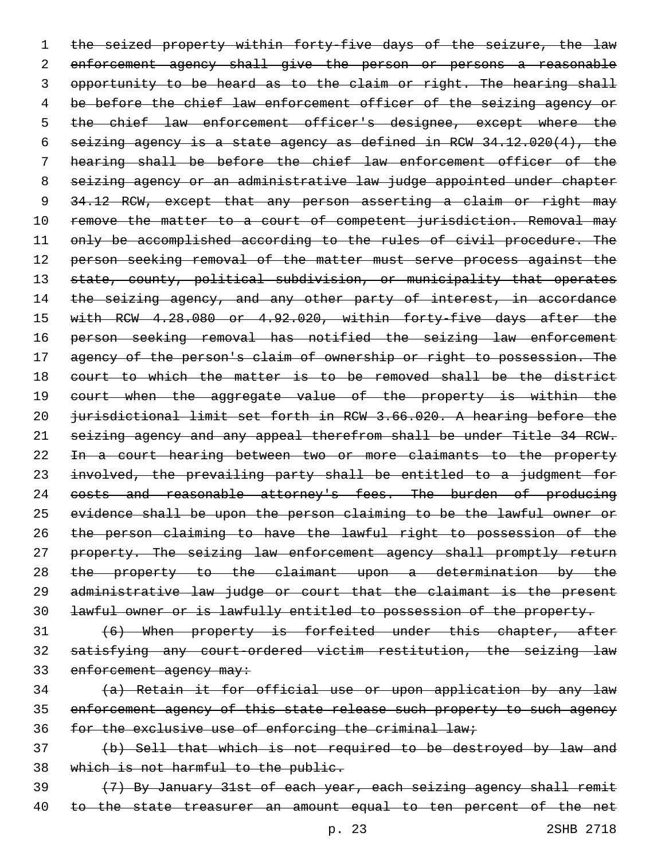1 the seized property within forty-five days of the seizure, the law 2 enforcement agency shall give the person or persons a reasonable 3 opportunity to be heard as to the claim or right. The hearing shall 4 be before the chief law enforcement officer of the seizing agency or 5 the chief law enforcement officer's designee, except where the 6 seizing agency is a state agency as defined in RCW 34.12.020(4), the 7 hearing shall be before the chief law enforcement officer of the 8 seizing agency or an administrative law judge appointed under chapter 9 34.12 RCW, except that any person asserting a claim or right may 10 remove the matter to a court of competent jurisdiction. Removal may 11 only be accomplished according to the rules of civil procedure. The 12 person seeking removal of the matter must serve process against the 13 state, county, political subdivision, or municipality that operates 14 the seizing agency, and any other party of interest, in accordance 15 with RCW 4.28.080 or 4.92.020, within forty-five days after the 16 person seeking removal has notified the seizing law enforcement 17 agency of the person's claim of ownership or right to possession. The 18 court to which the matter is to be removed shall be the district 19 court when the aggregate value of the property is within the 20 jurisdictional limit set forth in RCW 3.66.020. A hearing before the 21 seizing agency and any appeal therefrom shall be under Title 34 RCW. 22 In a court hearing between two or more claimants to the property 23 involved, the prevailing party shall be entitled to a judgment for 24 costs and reasonable attorney's fees. The burden of producing 25 evidence shall be upon the person claiming to be the lawful owner or 26 the person claiming to have the lawful right to possession of the 27 property. The seizing law enforcement agency shall promptly return 28 the property to the claimant upon a determination by the 29 administrative law judge or court that the claimant is the present 30 lawful owner or is lawfully entitled to possession of the property.

- 31 (6) When property is forfeited under this chapter, after 32 satisfying any court-ordered victim restitution, the seizing law 33 enforcement agency may:
- 34 (a) Retain it for official use or upon application by any law 35 enforcement agency of this state release such property to such agency 36 for the exclusive use of enforcing the criminal law;
- 37 (b) Sell that which is not required to be destroyed by law and 38 which is not harmful to the public.
- 39 (7) By January 31st of each year, each seizing agency shall remit 40 to the state treasurer an amount equal to ten percent of the net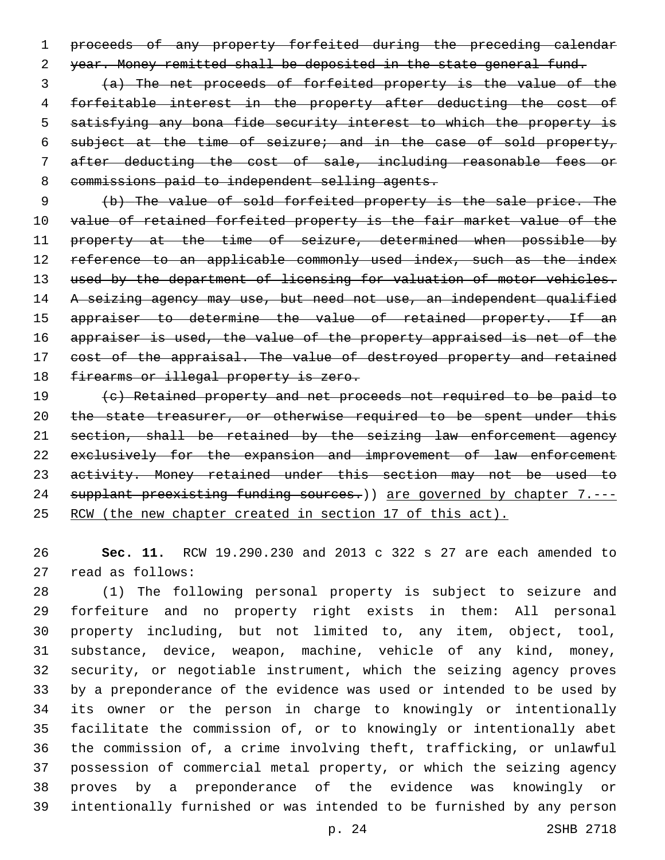proceeds of any property forfeited during the preceding calendar year. Money remitted shall be deposited in the state general fund.

 (a) The net proceeds of forfeited property is the value of the forfeitable interest in the property after deducting the cost of satisfying any bona fide security interest to which the property is subject at the time of seizure; and in the case of sold property, after deducting the cost of sale, including reasonable fees or 8 commissions paid to independent selling agents.

 (b) The value of sold forfeited property is the sale price. The 10 value of retained forfeited property is the fair market value of the 11 property at the time of seizure, determined when possible by 12 reference to an applicable commonly used index, such as the index 13 used by the department of licensing for valuation of motor vehicles. 14 A seizing agency may use, but need not use, an independent qualified 15 appraiser to determine the value of retained property. If an appraiser is used, the value of the property appraised is net of the 17 cost of the appraisal. The value of destroyed property and retained 18 firearms or illegal property is zero.

 (c) Retained property and net proceeds not required to be paid to 20 the state treasurer, or otherwise required to be spent under this section, shall be retained by the seizing law enforcement agency 22 exclusively for the expansion and improvement of law enforcement 23 activity. Money retained under this section may not be used to 24 supplant preexisting funding sources.) are governed by chapter 7.---RCW (the new chapter created in section 17 of this act).

 **Sec. 11.** RCW 19.290.230 and 2013 c 322 s 27 are each amended to 27 read as follows:

 (1) The following personal property is subject to seizure and forfeiture and no property right exists in them: All personal property including, but not limited to, any item, object, tool, substance, device, weapon, machine, vehicle of any kind, money, security, or negotiable instrument, which the seizing agency proves by a preponderance of the evidence was used or intended to be used by its owner or the person in charge to knowingly or intentionally facilitate the commission of, or to knowingly or intentionally abet the commission of, a crime involving theft, trafficking, or unlawful possession of commercial metal property, or which the seizing agency proves by a preponderance of the evidence was knowingly or intentionally furnished or was intended to be furnished by any person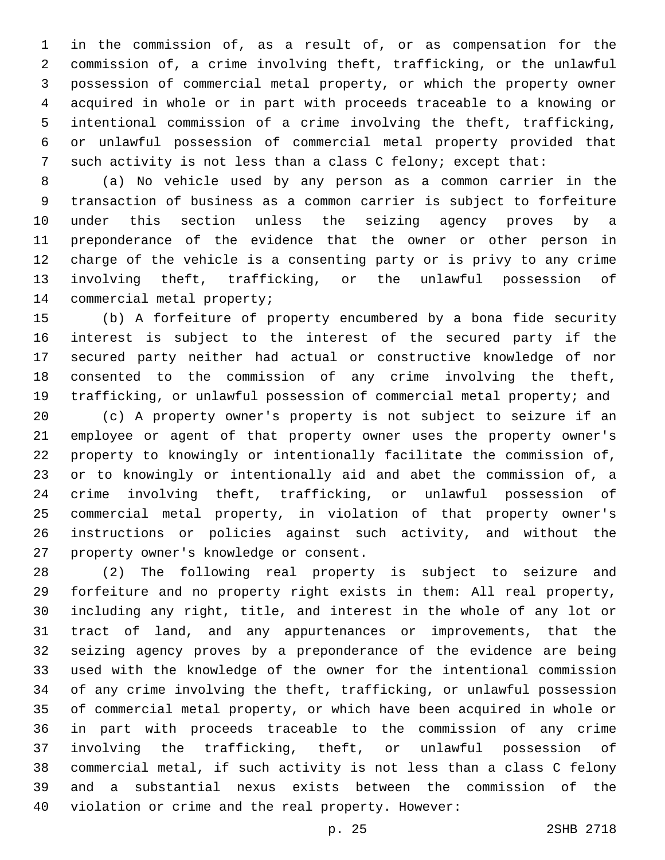in the commission of, as a result of, or as compensation for the commission of, a crime involving theft, trafficking, or the unlawful possession of commercial metal property, or which the property owner acquired in whole or in part with proceeds traceable to a knowing or intentional commission of a crime involving the theft, trafficking, or unlawful possession of commercial metal property provided that such activity is not less than a class C felony; except that:

 (a) No vehicle used by any person as a common carrier in the transaction of business as a common carrier is subject to forfeiture under this section unless the seizing agency proves by a preponderance of the evidence that the owner or other person in charge of the vehicle is a consenting party or is privy to any crime involving theft, trafficking, or the unlawful possession of 14 commercial metal property;

 (b) A forfeiture of property encumbered by a bona fide security interest is subject to the interest of the secured party if the secured party neither had actual or constructive knowledge of nor consented to the commission of any crime involving the theft, trafficking, or unlawful possession of commercial metal property; and

 (c) A property owner's property is not subject to seizure if an employee or agent of that property owner uses the property owner's property to knowingly or intentionally facilitate the commission of, or to knowingly or intentionally aid and abet the commission of, a crime involving theft, trafficking, or unlawful possession of commercial metal property, in violation of that property owner's instructions or policies against such activity, and without the 27 property owner's knowledge or consent.

 (2) The following real property is subject to seizure and forfeiture and no property right exists in them: All real property, including any right, title, and interest in the whole of any lot or tract of land, and any appurtenances or improvements, that the seizing agency proves by a preponderance of the evidence are being used with the knowledge of the owner for the intentional commission of any crime involving the theft, trafficking, or unlawful possession of commercial metal property, or which have been acquired in whole or in part with proceeds traceable to the commission of any crime involving the trafficking, theft, or unlawful possession of commercial metal, if such activity is not less than a class C felony and a substantial nexus exists between the commission of the violation or crime and the real property. However: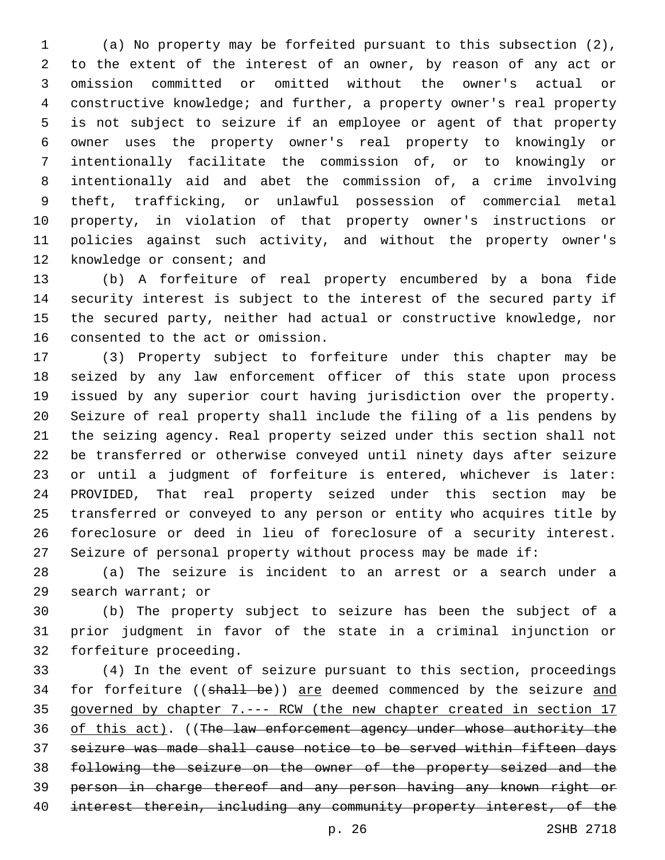(a) No property may be forfeited pursuant to this subsection (2), to the extent of the interest of an owner, by reason of any act or omission committed or omitted without the owner's actual or constructive knowledge; and further, a property owner's real property is not subject to seizure if an employee or agent of that property owner uses the property owner's real property to knowingly or intentionally facilitate the commission of, or to knowingly or intentionally aid and abet the commission of, a crime involving theft, trafficking, or unlawful possession of commercial metal property, in violation of that property owner's instructions or policies against such activity, and without the property owner's 12 knowledge or consent; and

 (b) A forfeiture of real property encumbered by a bona fide security interest is subject to the interest of the secured party if the secured party, neither had actual or constructive knowledge, nor 16 consented to the act or omission.

 (3) Property subject to forfeiture under this chapter may be seized by any law enforcement officer of this state upon process issued by any superior court having jurisdiction over the property. Seizure of real property shall include the filing of a lis pendens by the seizing agency. Real property seized under this section shall not be transferred or otherwise conveyed until ninety days after seizure or until a judgment of forfeiture is entered, whichever is later: PROVIDED, That real property seized under this section may be transferred or conveyed to any person or entity who acquires title by foreclosure or deed in lieu of foreclosure of a security interest. Seizure of personal property without process may be made if:

 (a) The seizure is incident to an arrest or a search under a 29 search warrant; or

 (b) The property subject to seizure has been the subject of a prior judgment in favor of the state in a criminal injunction or 32 forfeiture proceeding.

 (4) In the event of seizure pursuant to this section, proceedings 34 for forfeiture ((shall be)) are deemed commenced by the seizure and governed by chapter 7.--- RCW (the new chapter created in section 17 36 of this act). ((The law enforcement agency under whose authority the seizure was made shall cause notice to be served within fifteen days following the seizure on the owner of the property seized and the person in charge thereof and any person having any known right or interest therein, including any community property interest, of the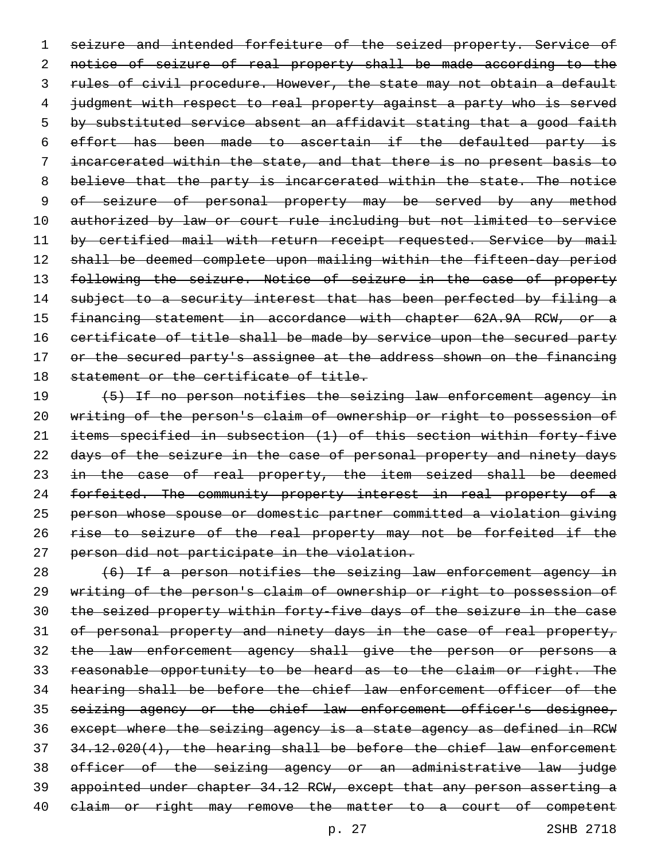seizure and intended forfeiture of the seized property. Service of notice of seizure of real property shall be made according to the 3 rules of civil procedure. However, the state may not obtain a default 4 judgment with respect to real property against a party who is served 5 by substituted service absent an affidavit stating that a good faith effort has been made to ascertain if the defaulted party is incarcerated within the state, and that there is no present basis to believe that the party is incarcerated within the state. The notice of seizure of personal property may be served by any method authorized by law or court rule including but not limited to service 11 by certified mail with return receipt requested. Service by mail 12 shall be deemed complete upon mailing within the fifteen-day period 13 following the seizure. Notice of seizure in the case of property 14 subject to a security interest that has been perfected by filing a financing statement in accordance with chapter 62A.9A RCW, or a 16 certificate of title shall be made by service upon the secured party 17 or the secured party's assignee at the address shown on the financing 18 statement or the certificate of title.

19 (5) If no person notifies the seizing law enforcement agency in writing of the person's claim of ownership or right to possession of items specified in subsection (1) of this section within forty-five days of the seizure in the case of personal property and ninety days 23 in the case of real property, the item seized shall be deemed 24 forfeited. The community property interest in real property of a person whose spouse or domestic partner committed a violation giving rise to seizure of the real property may not be forfeited if the person did not participate in the violation.

 (6) If a person notifies the seizing law enforcement agency in writing of the person's claim of ownership or right to possession of the seized property within forty-five days of the seizure in the case of personal property and ninety days in the case of real property, the law enforcement agency shall give the person or persons a reasonable opportunity to be heard as to the claim or right. The hearing shall be before the chief law enforcement officer of the 35 seizing agency or the chief law enforcement officer's designee, except where the seizing agency is a state agency as defined in RCW 34.12.020(4), the hearing shall be before the chief law enforcement officer of the seizing agency or an administrative law judge appointed under chapter 34.12 RCW, except that any person asserting a 40 elaim or right may remove the matter to a court of competent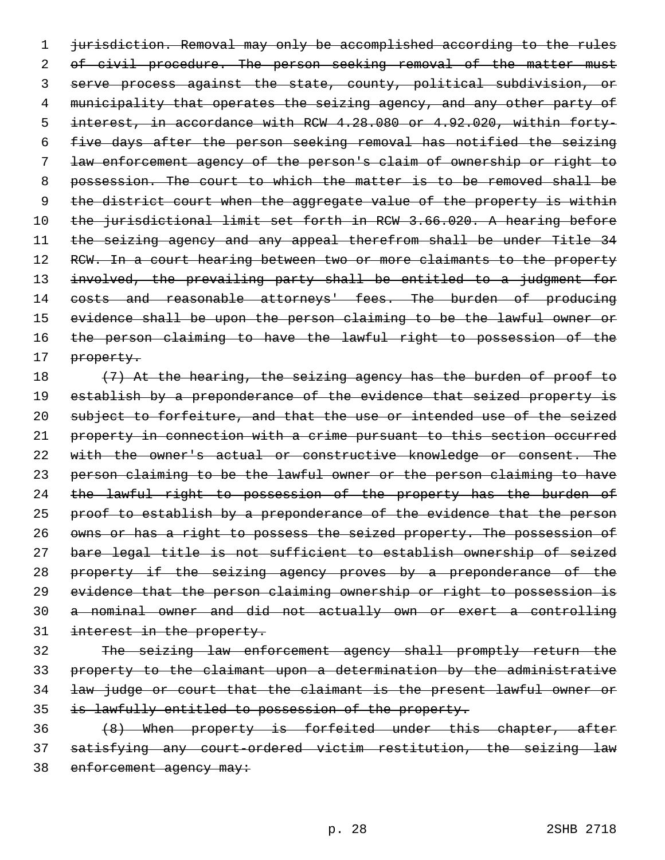1 jurisdiction. Removal may only be accomplished according to the rules 2 of civil procedure. The person seeking removal of the matter must 3 serve process against the state, county, political subdivision, or 4 municipality that operates the seizing agency, and any other party of 5 interest, in accordance with RCW 4.28.080 or 4.92.020, within forty-6 five days after the person seeking removal has notified the seizing 7 law enforcement agency of the person's claim of ownership or right to 8 possession. The court to which the matter is to be removed shall be 9 the district court when the aggregate value of the property is within 10 the jurisdictional limit set forth in RCW 3.66.020. A hearing before 11 the seizing agency and any appeal therefrom shall be under Title 34 12 RCW. In a court hearing between two or more claimants to the property 13 involved, the prevailing party shall be entitled to a judgment for 14 costs and reasonable attorneys' fees. The burden of producing 15 evidence shall be upon the person claiming to be the lawful owner or 16 the person claiming to have the lawful right to possession of the 17 property.

18 (7) At the hearing, the seizing agency has the burden of proof to 19 establish by a preponderance of the evidence that seized property is 20 subject to forfeiture, and that the use or intended use of the seized 21 property in connection with a crime pursuant to this section occurred 22 with the owner's actual or constructive knowledge or consent. The 23 person claiming to be the lawful owner or the person claiming to have 24 the lawful right to possession of the property has the burden of 25 proof to establish by a preponderance of the evidence that the person 26 owns or has a right to possess the seized property. The possession of 27 bare legal title is not sufficient to establish ownership of seized 28 property if the seizing agency proves by a preponderance of the 29 evidence that the person claiming ownership or right to possession is 30 a nominal owner and did not actually own or exert a controlling 31 interest in the property.

 The seizing law enforcement agency shall promptly return the property to the claimant upon a determination by the administrative law judge or court that the claimant is the present lawful owner or is lawfully entitled to possession of the property.

36 (8) When property is forfeited under this chapter, after 37 satisfying any court-ordered victim restitution, the seizing law 38 enforcement agency may: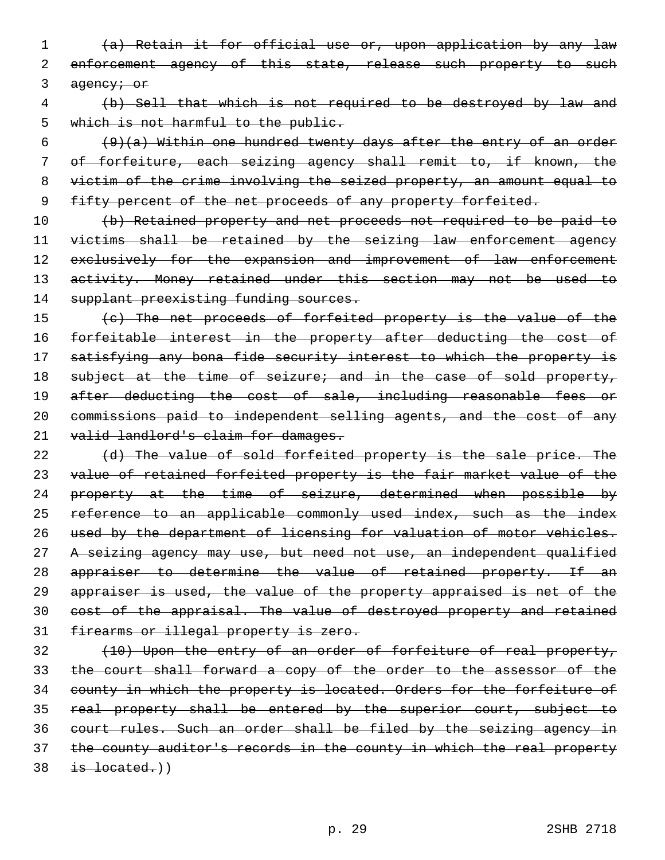1 (a) Retain it for official use or, upon application by any law 2 enforcement agency of this state, release such property to such 3 agency; or

4 (b) Sell that which is not required to be destroyed by law and 5 which is not harmful to the public.

 $(9)$ (a) Within one hundred twenty days after the entry of an order 7 of forfeiture, each seizing agency shall remit to, if known, the 8 victim of the crime involving the seized property, an amount equal to 9 fifty percent of the net proceeds of any property forfeited.

10 (b) Retained property and net proceeds not required to be paid to 11 victims shall be retained by the seizing law enforcement agency 12 exclusively for the expansion and improvement of law enforcement 13 activity. Money retained under this section may not be used to 14 supplant preexisting funding sources.

15 (c) The net proceeds of forfeited property is the value of the 16 forfeitable interest in the property after deducting the cost of 17 satisfying any bona fide security interest to which the property is 18 subject at the time of seizure; and in the case of sold property, 19 after deducting the cost of sale, including reasonable fees or 20 commissions paid to independent selling agents, and the cost of any 21 valid landlord's claim for damages.

22 (d) The value of sold forfeited property is the sale price. The 23 value of retained forfeited property is the fair market value of the 24 property at the time of seizure, determined when possible by 25 reference to an applicable commonly used index, such as the index 26 used by the department of licensing for valuation of motor vehicles. 27 A seizing agency may use, but need not use, an independent qualified 28 appraiser to determine the value of retained property. If an 29 appraiser is used, the value of the property appraised is net of the 30 cost of the appraisal. The value of destroyed property and retained 31 firearms or illegal property is zero.

 (10) Upon the entry of an order of forfeiture of real property, the court shall forward a copy of the order to the assessor of the 34 county in which the property is located. Orders for the forfeiture of real property shall be entered by the superior court, subject to court rules. Such an order shall be filed by the seizing agency in 37 the county auditor's records in the county in which the real property is located.)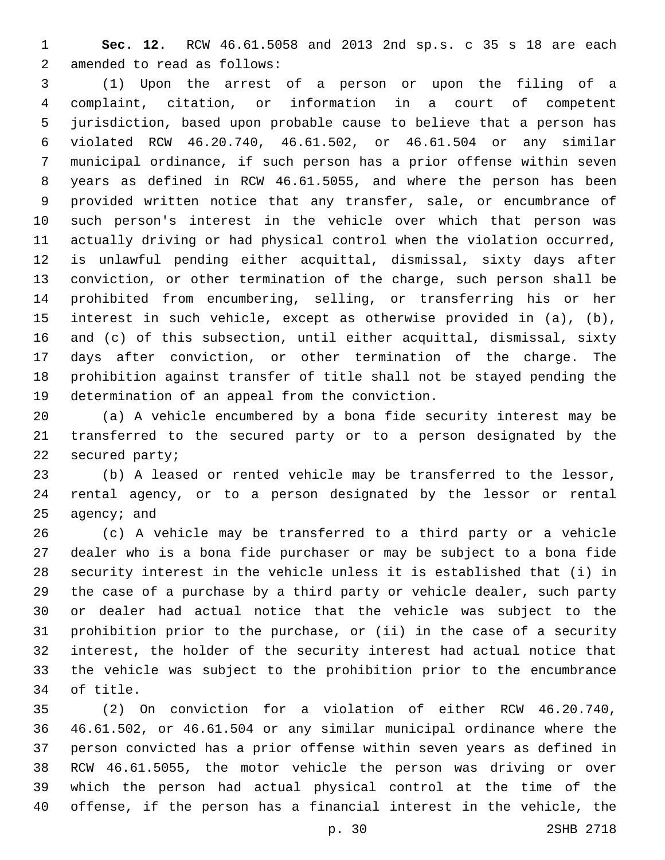**Sec. 12.** RCW 46.61.5058 and 2013 2nd sp.s. c 35 s 18 are each 2 amended to read as follows:

 (1) Upon the arrest of a person or upon the filing of a complaint, citation, or information in a court of competent jurisdiction, based upon probable cause to believe that a person has violated RCW 46.20.740, 46.61.502, or 46.61.504 or any similar municipal ordinance, if such person has a prior offense within seven years as defined in RCW 46.61.5055, and where the person has been provided written notice that any transfer, sale, or encumbrance of such person's interest in the vehicle over which that person was actually driving or had physical control when the violation occurred, is unlawful pending either acquittal, dismissal, sixty days after conviction, or other termination of the charge, such person shall be prohibited from encumbering, selling, or transferring his or her interest in such vehicle, except as otherwise provided in (a), (b), and (c) of this subsection, until either acquittal, dismissal, sixty days after conviction, or other termination of the charge. The prohibition against transfer of title shall not be stayed pending the 19 determination of an appeal from the conviction.

 (a) A vehicle encumbered by a bona fide security interest may be transferred to the secured party or to a person designated by the 22 secured party;

 (b) A leased or rented vehicle may be transferred to the lessor, rental agency, or to a person designated by the lessor or rental agency; and

 (c) A vehicle may be transferred to a third party or a vehicle dealer who is a bona fide purchaser or may be subject to a bona fide security interest in the vehicle unless it is established that (i) in the case of a purchase by a third party or vehicle dealer, such party or dealer had actual notice that the vehicle was subject to the prohibition prior to the purchase, or (ii) in the case of a security interest, the holder of the security interest had actual notice that the vehicle was subject to the prohibition prior to the encumbrance 34 of title.

 (2) On conviction for a violation of either RCW 46.20.740, 46.61.502, or 46.61.504 or any similar municipal ordinance where the person convicted has a prior offense within seven years as defined in RCW 46.61.5055, the motor vehicle the person was driving or over which the person had actual physical control at the time of the offense, if the person has a financial interest in the vehicle, the

p. 30 2SHB 2718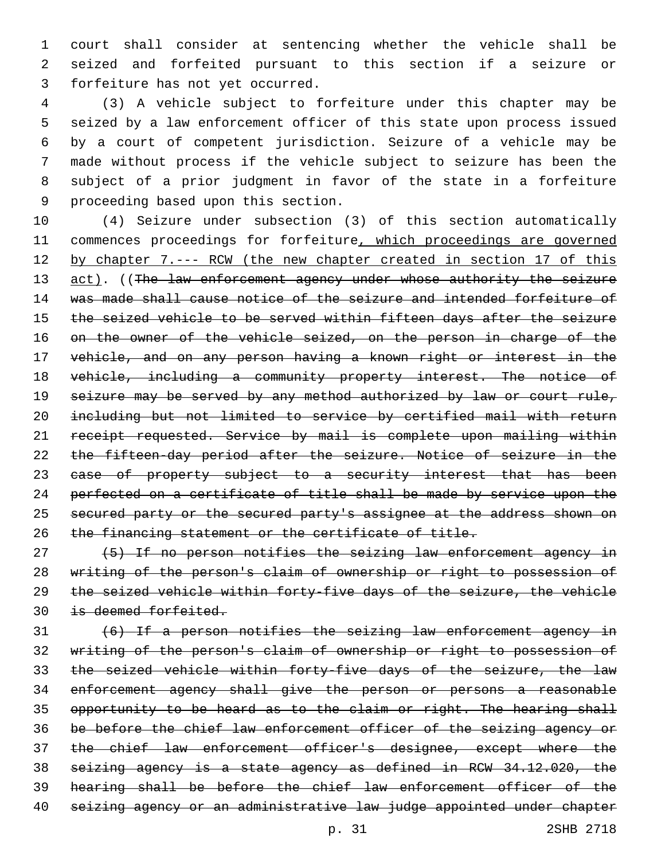court shall consider at sentencing whether the vehicle shall be seized and forfeited pursuant to this section if a seizure or 3 forfeiture has not yet occurred.

 (3) A vehicle subject to forfeiture under this chapter may be seized by a law enforcement officer of this state upon process issued by a court of competent jurisdiction. Seizure of a vehicle may be made without process if the vehicle subject to seizure has been the subject of a prior judgment in favor of the state in a forfeiture 9 proceeding based upon this section.

 (4) Seizure under subsection (3) of this section automatically 11 commences proceedings for forfeiture, which proceedings are governed 12 by chapter 7.--- RCW (the new chapter created in section 17 of this 13 act). ((The law enforcement agency under whose authority the seizure was made shall cause notice of the seizure and intended forfeiture of the seized vehicle to be served within fifteen days after the seizure 16 on the owner of the vehicle seized, on the person in charge of the vehicle, and on any person having a known right or interest in the 18 vehicle, including a community property interest. The notice of 19 seizure may be served by any method authorized by law or court rule, including but not limited to service by certified mail with return 21 receipt requested. Service by mail is complete upon mailing within the fifteen-day period after the seizure. Notice of seizure in the 23 ease of property subject to a security interest that has been perfected on a certificate of title shall be made by service upon the 25 secured party or the secured party's assignee at the address shown on the financing statement or the certificate of title.

 (5) If no person notifies the seizing law enforcement agency in writing of the person's claim of ownership or right to possession of the seized vehicle within forty-five days of the seizure, the vehicle is deemed forfeited.

 (6) If a person notifies the seizing law enforcement agency in writing of the person's claim of ownership or right to possession of 33 the seized vehicle within forty-five days of the seizure, the law enforcement agency shall give the person or persons a reasonable opportunity to be heard as to the claim or right. The hearing shall be before the chief law enforcement officer of the seizing agency or 37 the chief law enforcement officer's designee, except where the seizing agency is a state agency as defined in RCW 34.12.020, the hearing shall be before the chief law enforcement officer of the seizing agency or an administrative law judge appointed under chapter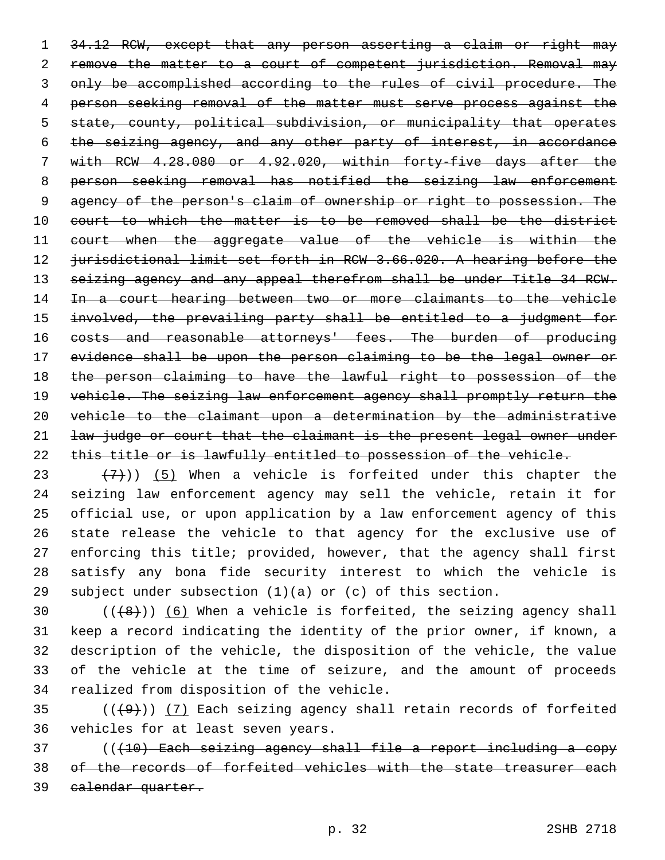34.12 RCW, except that any person asserting a claim or right may remove the matter to a court of competent jurisdiction. Removal may only be accomplished according to the rules of civil procedure. The person seeking removal of the matter must serve process against the state, county, political subdivision, or municipality that operates the seizing agency, and any other party of interest, in accordance with RCW 4.28.080 or 4.92.020, within forty-five days after the person seeking removal has notified the seizing law enforcement agency of the person's claim of ownership or right to possession. The court to which the matter is to be removed shall be the district 11 court when the aggregate value of the vehicle is within the jurisdictional limit set forth in RCW 3.66.020. A hearing before the 13 seizing agency and any appeal therefrom shall be under Title 34 RCW. 14 In a court hearing between two or more claimants to the vehicle involved, the prevailing party shall be entitled to a judgment for 16 costs and reasonable attorneys' fees. The burden of producing evidence shall be upon the person claiming to be the legal owner or 18 the person claiming to have the lawful right to possession of the 19 vehicle. The seizing law enforcement agency shall promptly return the vehicle to the claimant upon a determination by the administrative law judge or court that the claimant is the present legal owner under 22 this title or is lawfully entitled to possession of the vehicle.

 $(7)$ )) (5) When a vehicle is forfeited under this chapter the seizing law enforcement agency may sell the vehicle, retain it for official use, or upon application by a law enforcement agency of this state release the vehicle to that agency for the exclusive use of enforcing this title; provided, however, that the agency shall first satisfy any bona fide security interest to which the vehicle is 29 subject under subsection  $(1)(a)$  or  $(c)$  of this section.

 $((+8))$   $(6)$  When a vehicle is forfeited, the seizing agency shall keep a record indicating the identity of the prior owner, if known, a description of the vehicle, the disposition of the vehicle, the value of the vehicle at the time of seizure, and the amount of proceeds 34 realized from disposition of the vehicle.

35  $((+9))$   $(7)$  Each seizing agency shall retain records of forfeited 36 vehicles for at least seven years.

 (((10) Each seizing agency shall file a report including a copy of the records of forfeited vehicles with the state treasurer each calendar quarter.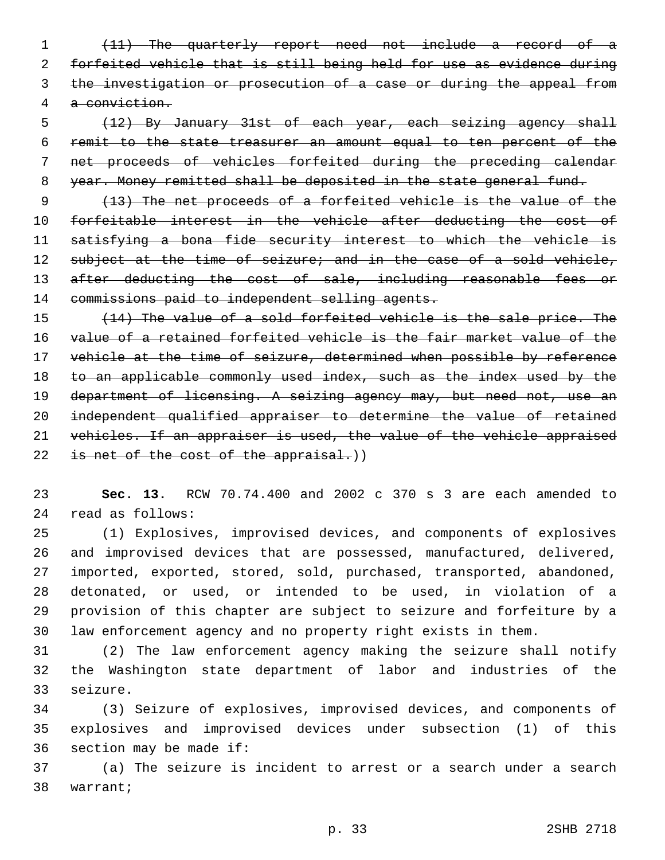(11) The quarterly report need not include a record of a forfeited vehicle that is still being held for use as evidence during 3 the investigation or prosecution of a case or during the appeal from a conviction.

 (12) By January 31st of each year, each seizing agency shall remit to the state treasurer an amount equal to ten percent of the net proceeds of vehicles forfeited during the preceding calendar year. Money remitted shall be deposited in the state general fund.

 (13) The net proceeds of a forfeited vehicle is the value of the forfeitable interest in the vehicle after deducting the cost of satisfying a bona fide security interest to which the vehicle is 12 subject at the time of seizure; and in the case of a sold vehicle, 13 after deducting the cost of sale, including reasonable fees or 14 commissions paid to independent selling agents.

 (14) The value of a sold forfeited vehicle is the sale price. The value of a retained forfeited vehicle is the fair market value of the 17 vehicle at the time of seizure, determined when possible by reference 18 to an applicable commonly used index, such as the index used by the 19 department of licensing. A seizing agency may, but need not, use an independent qualified appraiser to determine the value of retained vehicles. If an appraiser is used, the value of the vehicle appraised 22 is net of the cost of the appraisal.))

 **Sec. 13.** RCW 70.74.400 and 2002 c 370 s 3 are each amended to read as follows:24

 (1) Explosives, improvised devices, and components of explosives and improvised devices that are possessed, manufactured, delivered, imported, exported, stored, sold, purchased, transported, abandoned, detonated, or used, or intended to be used, in violation of a provision of this chapter are subject to seizure and forfeiture by a law enforcement agency and no property right exists in them.

 (2) The law enforcement agency making the seizure shall notify the Washington state department of labor and industries of the 33 seizure.

 (3) Seizure of explosives, improvised devices, and components of explosives and improvised devices under subsection (1) of this section may be made if:

 (a) The seizure is incident to arrest or a search under a search 38 warrant;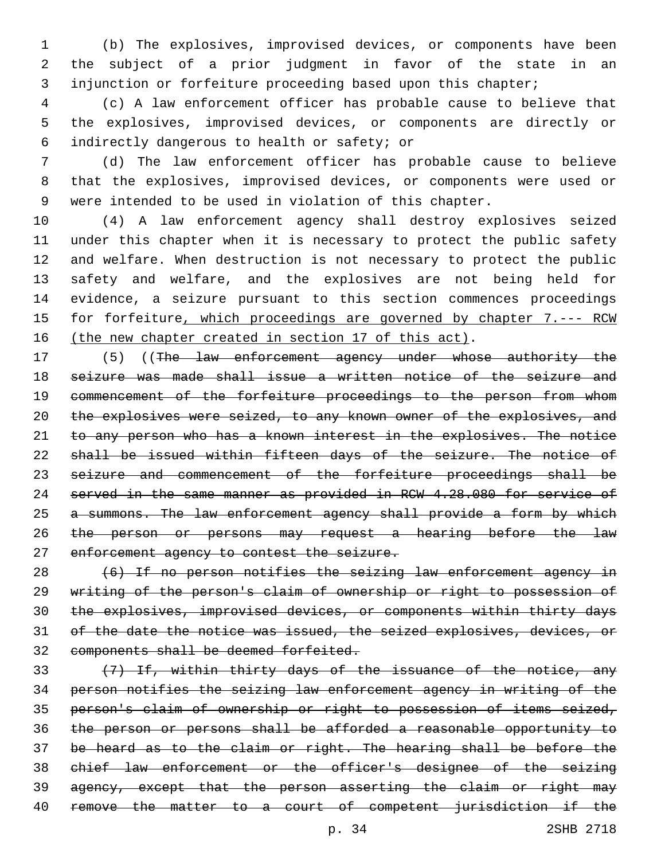(b) The explosives, improvised devices, or components have been the subject of a prior judgment in favor of the state in an 3 injunction or forfeiture proceeding based upon this chapter;

 (c) A law enforcement officer has probable cause to believe that the explosives, improvised devices, or components are directly or indirectly dangerous to health or safety; or6

 (d) The law enforcement officer has probable cause to believe that the explosives, improvised devices, or components were used or were intended to be used in violation of this chapter.

 (4) A law enforcement agency shall destroy explosives seized under this chapter when it is necessary to protect the public safety and welfare. When destruction is not necessary to protect the public safety and welfare, and the explosives are not being held for evidence, a seizure pursuant to this section commences proceedings 15 for forfeiture, which proceedings are governed by chapter 7.--- RCW 16 (the new chapter created in section 17 of this act).

17 (5) ((The law enforcement agency under whose authority the seizure was made shall issue a written notice of the seizure and 19 commencement of the forfeiture proceedings to the person from whom the explosives were seized, to any known owner of the explosives, and to any person who has a known interest in the explosives. The notice shall be issued within fifteen days of the seizure. The notice of seizure and commencement of the forfeiture proceedings shall be served in the same manner as provided in RCW 4.28.080 for service of 25 a summons. The law enforcement agency shall provide a form by which 26 the person or persons may request a hearing before the law 27 enforcement agency to contest the seizure.

 (6) If no person notifies the seizing law enforcement agency in writing of the person's claim of ownership or right to possession of the explosives, improvised devices, or components within thirty days of the date the notice was issued, the seized explosives, devices, or components shall be deemed forfeited.

33 (7) If, within thirty days of the issuance of the notice, any person notifies the seizing law enforcement agency in writing of the person's claim of ownership or right to possession of items seized, the person or persons shall be afforded a reasonable opportunity to be heard as to the claim or right. The hearing shall be before the chief law enforcement or the officer's designee of the seizing 39 agency, except that the person asserting the claim or right may remove the matter to a court of competent jurisdiction if the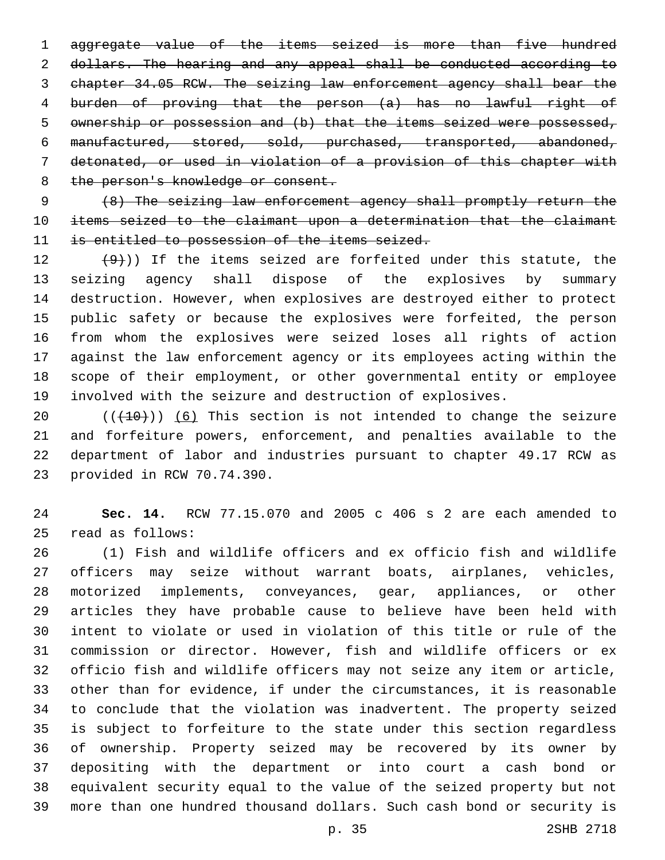aggregate value of the items seized is more than five hundred dollars. The hearing and any appeal shall be conducted according to chapter 34.05 RCW. The seizing law enforcement agency shall bear the burden of proving that the person (a) has no lawful right of ownership or possession and (b) that the items seized were possessed, manufactured, stored, sold, purchased, transported, abandoned, detonated, or used in violation of a provision of this chapter with 8 the person's knowledge or consent.

 (8) The seizing law enforcement agency shall promptly return the items seized to the claimant upon a determination that the claimant is entitled to possession of the items seized.

 $(9)$ )) If the items seized are forfeited under this statute, the seizing agency shall dispose of the explosives by summary destruction. However, when explosives are destroyed either to protect public safety or because the explosives were forfeited, the person from whom the explosives were seized loses all rights of action against the law enforcement agency or its employees acting within the scope of their employment, or other governmental entity or employee involved with the seizure and destruction of explosives.

 (( $(10)$ )) (6) This section is not intended to change the seizure and forfeiture powers, enforcement, and penalties available to the department of labor and industries pursuant to chapter 49.17 RCW as 23 provided in RCW 70.74.390.

 **Sec. 14.** RCW 77.15.070 and 2005 c 406 s 2 are each amended to read as follows:25

 (1) Fish and wildlife officers and ex officio fish and wildlife officers may seize without warrant boats, airplanes, vehicles, motorized implements, conveyances, gear, appliances, or other articles they have probable cause to believe have been held with intent to violate or used in violation of this title or rule of the commission or director. However, fish and wildlife officers or ex officio fish and wildlife officers may not seize any item or article, other than for evidence, if under the circumstances, it is reasonable to conclude that the violation was inadvertent. The property seized is subject to forfeiture to the state under this section regardless of ownership. Property seized may be recovered by its owner by depositing with the department or into court a cash bond or equivalent security equal to the value of the seized property but not more than one hundred thousand dollars. Such cash bond or security is

p. 35 2SHB 2718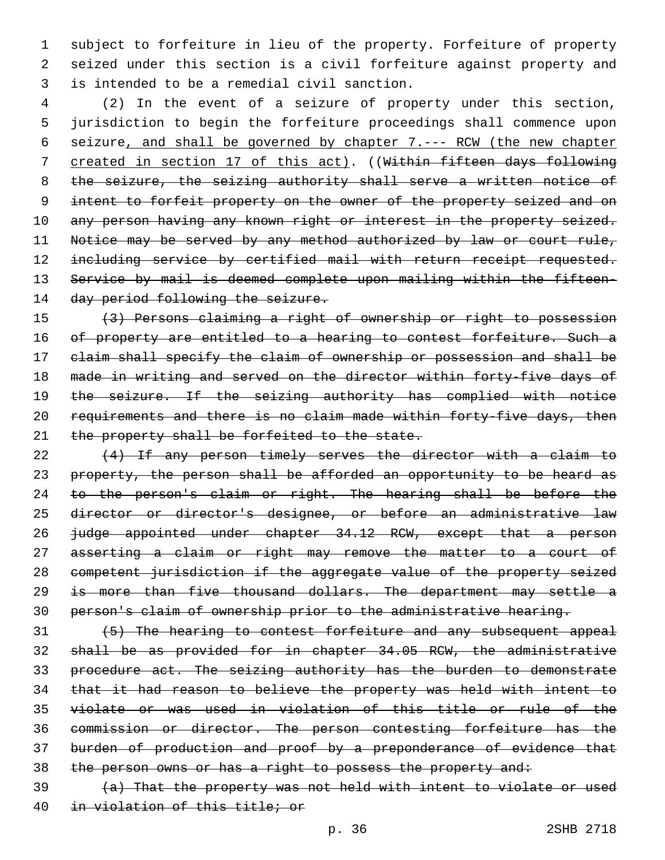subject to forfeiture in lieu of the property. Forfeiture of property seized under this section is a civil forfeiture against property and is intended to be a remedial civil sanction.3

 (2) In the event of a seizure of property under this section, jurisdiction to begin the forfeiture proceedings shall commence upon seizure, and shall be governed by chapter 7.--- RCW (the new chapter created in section 17 of this act). ((Within fifteen days following 8 the seizure, the seizing authority shall serve a written notice of intent to forfeit property on the owner of the property seized and on 10 any person having any known right or interest in the property seized. 11 Notice may be served by any method authorized by law or court rule, 12 including service by certified mail with return receipt requested. Service by mail is deemed complete upon mailing within the fifteen-14 day period following the seizure.

 (3) Persons claiming a right of ownership or right to possession 16 of property are entitled to a hearing to contest forfeiture. Such a claim shall specify the claim of ownership or possession and shall be made in writing and served on the director within forty-five days of 19 the seizure. If the seizing authority has complied with notice requirements and there is no claim made within forty-five days, then 21 the property shall be forfeited to the state.

 (4) If any person timely serves the director with a claim to 23 property, the person shall be afforded an opportunity to be heard as 24 to the person's claim or right. The hearing shall be before the director or director's designee, or before an administrative law judge appointed under chapter 34.12 RCW, except that a person asserting a claim or right may remove the matter to a court of competent jurisdiction if the aggregate value of the property seized is more than five thousand dollars. The department may settle a person's claim of ownership prior to the administrative hearing.

 (5) The hearing to contest forfeiture and any subsequent appeal shall be as provided for in chapter 34.05 RCW, the administrative procedure act. The seizing authority has the burden to demonstrate that it had reason to believe the property was held with intent to violate or was used in violation of this title or rule of the commission or director. The person contesting forfeiture has the burden of production and proof by a preponderance of evidence that 38 the person owns or has a right to possess the property and: (a) That the property was not held with intent to violate or used

in violation of this title; or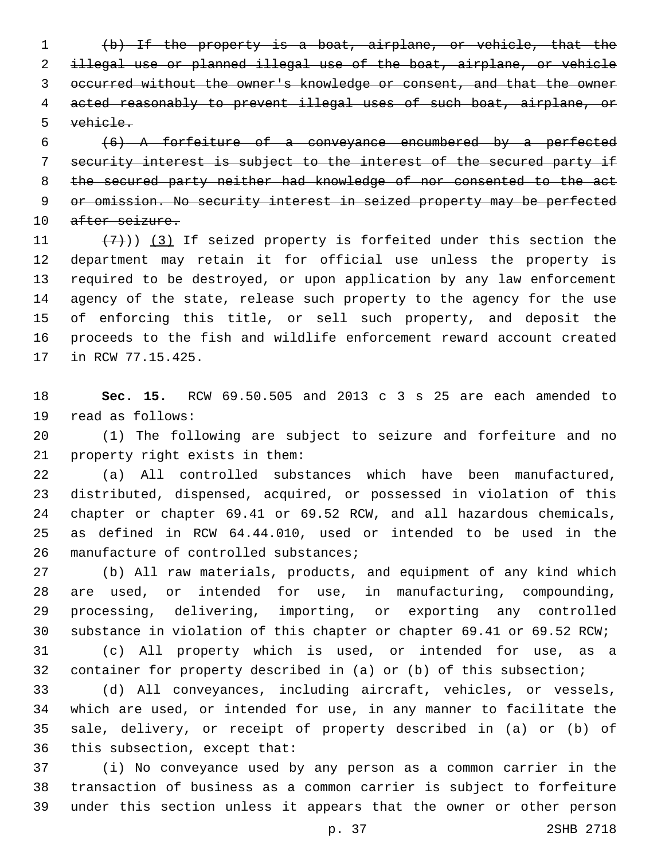(b) If the property is a boat, airplane, or vehicle, that the illegal use or planned illegal use of the boat, airplane, or vehicle occurred without the owner's knowledge or consent, and that the owner acted reasonably to prevent illegal uses of such boat, airplane, or vehicle.

 (6) A forfeiture of a conveyance encumbered by a perfected security interest is subject to the interest of the secured party if the secured party neither had knowledge of nor consented to the act or omission. No security interest in seized property may be perfected 10 after seizure.

 $(7)$ )) (3) If seized property is forfeited under this section the department may retain it for official use unless the property is required to be destroyed, or upon application by any law enforcement agency of the state, release such property to the agency for the use of enforcing this title, or sell such property, and deposit the proceeds to the fish and wildlife enforcement reward account created 17 in RCW 77.15.425.

 **Sec. 15.** RCW 69.50.505 and 2013 c 3 s 25 are each amended to 19 read as follows:

 (1) The following are subject to seizure and forfeiture and no 21 property right exists in them:

 (a) All controlled substances which have been manufactured, distributed, dispensed, acquired, or possessed in violation of this chapter or chapter 69.41 or 69.52 RCW, and all hazardous chemicals, as defined in RCW 64.44.010, used or intended to be used in the 26 manufacture of controlled substances;

 (b) All raw materials, products, and equipment of any kind which are used, or intended for use, in manufacturing, compounding, processing, delivering, importing, or exporting any controlled substance in violation of this chapter or chapter 69.41 or 69.52 RCW;

 (c) All property which is used, or intended for use, as a container for property described in (a) or (b) of this subsection;

 (d) All conveyances, including aircraft, vehicles, or vessels, which are used, or intended for use, in any manner to facilitate the sale, delivery, or receipt of property described in (a) or (b) of 36 this subsection, except that:

 (i) No conveyance used by any person as a common carrier in the transaction of business as a common carrier is subject to forfeiture under this section unless it appears that the owner or other person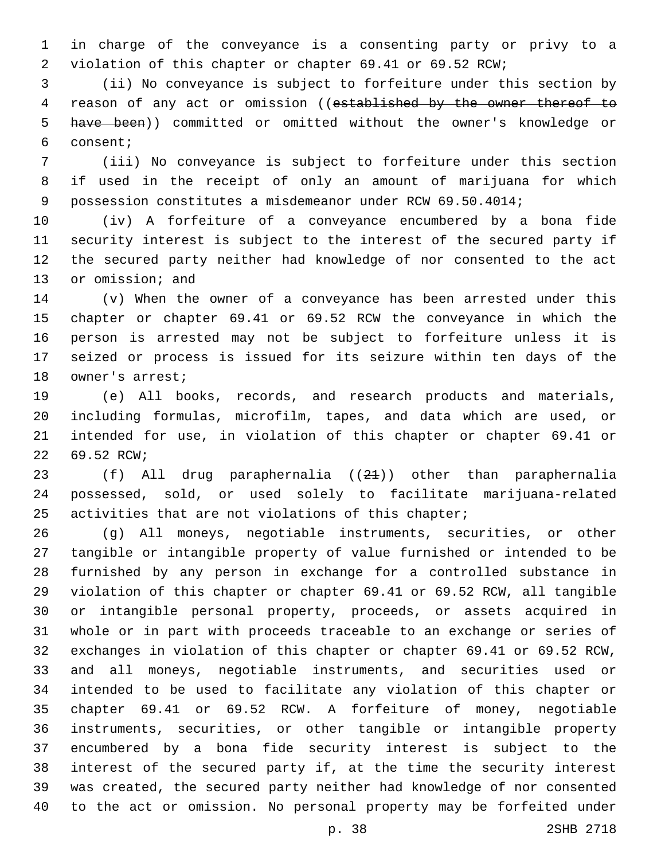in charge of the conveyance is a consenting party or privy to a violation of this chapter or chapter 69.41 or 69.52 RCW;

 (ii) No conveyance is subject to forfeiture under this section by 4 reason of any act or omission ((established by the owner thereof to have been)) committed or omitted without the owner's knowledge or consent;6

 (iii) No conveyance is subject to forfeiture under this section if used in the receipt of only an amount of marijuana for which possession constitutes a misdemeanor under RCW 69.50.4014;

 (iv) A forfeiture of a conveyance encumbered by a bona fide security interest is subject to the interest of the secured party if the secured party neither had knowledge of nor consented to the act 13 or omission; and

 (v) When the owner of a conveyance has been arrested under this chapter or chapter 69.41 or 69.52 RCW the conveyance in which the person is arrested may not be subject to forfeiture unless it is seized or process is issued for its seizure within ten days of the 18 owner's arrest;

 (e) All books, records, and research products and materials, including formulas, microfilm, tapes, and data which are used, or intended for use, in violation of this chapter or chapter 69.41 or 22 69.52 RCW;

 (f) All drug paraphernalia ((21)) other than paraphernalia possessed, sold, or used solely to facilitate marijuana-related activities that are not violations of this chapter;

 (g) All moneys, negotiable instruments, securities, or other tangible or intangible property of value furnished or intended to be furnished by any person in exchange for a controlled substance in violation of this chapter or chapter 69.41 or 69.52 RCW, all tangible or intangible personal property, proceeds, or assets acquired in whole or in part with proceeds traceable to an exchange or series of exchanges in violation of this chapter or chapter 69.41 or 69.52 RCW, and all moneys, negotiable instruments, and securities used or intended to be used to facilitate any violation of this chapter or chapter 69.41 or 69.52 RCW. A forfeiture of money, negotiable instruments, securities, or other tangible or intangible property encumbered by a bona fide security interest is subject to the interest of the secured party if, at the time the security interest was created, the secured party neither had knowledge of nor consented to the act or omission. No personal property may be forfeited under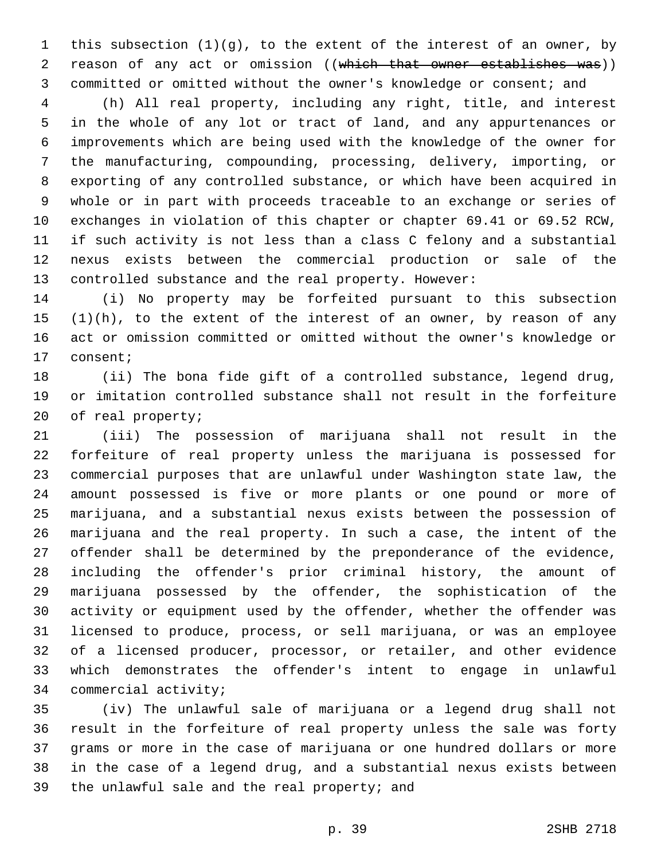this subsection (1)(g), to the extent of the interest of an owner, by 2 reason of any act or omission ((which that owner establishes was)) committed or omitted without the owner's knowledge or consent; and

 (h) All real property, including any right, title, and interest in the whole of any lot or tract of land, and any appurtenances or improvements which are being used with the knowledge of the owner for the manufacturing, compounding, processing, delivery, importing, or exporting of any controlled substance, or which have been acquired in whole or in part with proceeds traceable to an exchange or series of exchanges in violation of this chapter or chapter 69.41 or 69.52 RCW, if such activity is not less than a class C felony and a substantial nexus exists between the commercial production or sale of the controlled substance and the real property. However:

 (i) No property may be forfeited pursuant to this subsection (1)(h), to the extent of the interest of an owner, by reason of any act or omission committed or omitted without the owner's knowledge or 17 consent;

 (ii) The bona fide gift of a controlled substance, legend drug, or imitation controlled substance shall not result in the forfeiture 20 of real property;

 (iii) The possession of marijuana shall not result in the forfeiture of real property unless the marijuana is possessed for commercial purposes that are unlawful under Washington state law, the amount possessed is five or more plants or one pound or more of marijuana, and a substantial nexus exists between the possession of marijuana and the real property. In such a case, the intent of the offender shall be determined by the preponderance of the evidence, including the offender's prior criminal history, the amount of marijuana possessed by the offender, the sophistication of the activity or equipment used by the offender, whether the offender was licensed to produce, process, or sell marijuana, or was an employee of a licensed producer, processor, or retailer, and other evidence which demonstrates the offender's intent to engage in unlawful 34 commercial activity;

 (iv) The unlawful sale of marijuana or a legend drug shall not result in the forfeiture of real property unless the sale was forty grams or more in the case of marijuana or one hundred dollars or more in the case of a legend drug, and a substantial nexus exists between 39 the unlawful sale and the real property; and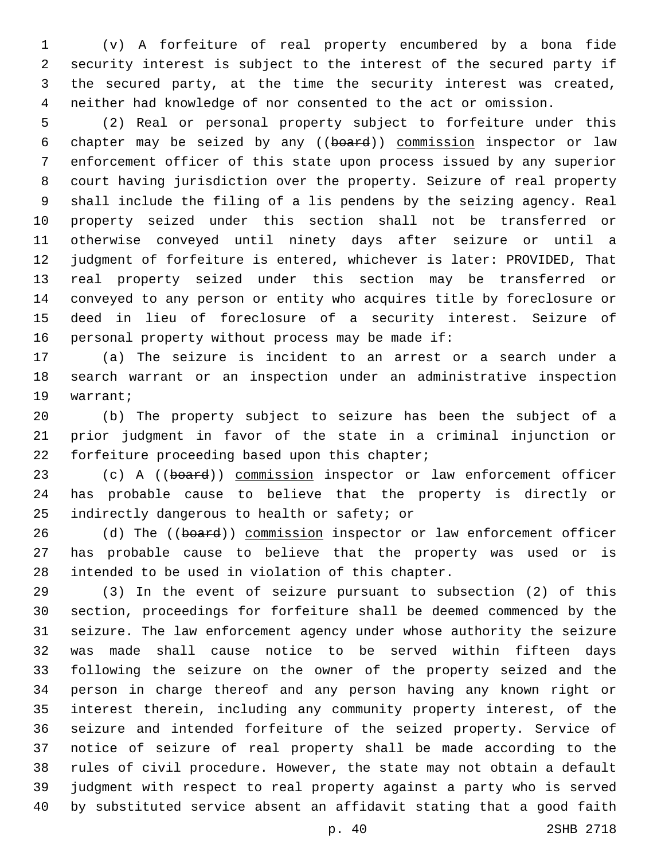(v) A forfeiture of real property encumbered by a bona fide security interest is subject to the interest of the secured party if the secured party, at the time the security interest was created, neither had knowledge of nor consented to the act or omission.

 (2) Real or personal property subject to forfeiture under this chapter may be seized by any ((board)) commission inspector or law enforcement officer of this state upon process issued by any superior court having jurisdiction over the property. Seizure of real property shall include the filing of a lis pendens by the seizing agency. Real property seized under this section shall not be transferred or otherwise conveyed until ninety days after seizure or until a judgment of forfeiture is entered, whichever is later: PROVIDED, That real property seized under this section may be transferred or conveyed to any person or entity who acquires title by foreclosure or deed in lieu of foreclosure of a security interest. Seizure of 16 personal property without process may be made if:

 (a) The seizure is incident to an arrest or a search under a search warrant or an inspection under an administrative inspection 19 warrant;

 (b) The property subject to seizure has been the subject of a prior judgment in favor of the state in a criminal injunction or 22 forfeiture proceeding based upon this chapter;

23 (c) A ((board)) commission inspector or law enforcement officer has probable cause to believe that the property is directly or 25 indirectly dangerous to health or safety; or

26 (d) The ((board)) commission inspector or law enforcement officer has probable cause to believe that the property was used or is 28 intended to be used in violation of this chapter.

 (3) In the event of seizure pursuant to subsection (2) of this section, proceedings for forfeiture shall be deemed commenced by the seizure. The law enforcement agency under whose authority the seizure was made shall cause notice to be served within fifteen days following the seizure on the owner of the property seized and the person in charge thereof and any person having any known right or interest therein, including any community property interest, of the seizure and intended forfeiture of the seized property. Service of notice of seizure of real property shall be made according to the rules of civil procedure. However, the state may not obtain a default judgment with respect to real property against a party who is served by substituted service absent an affidavit stating that a good faith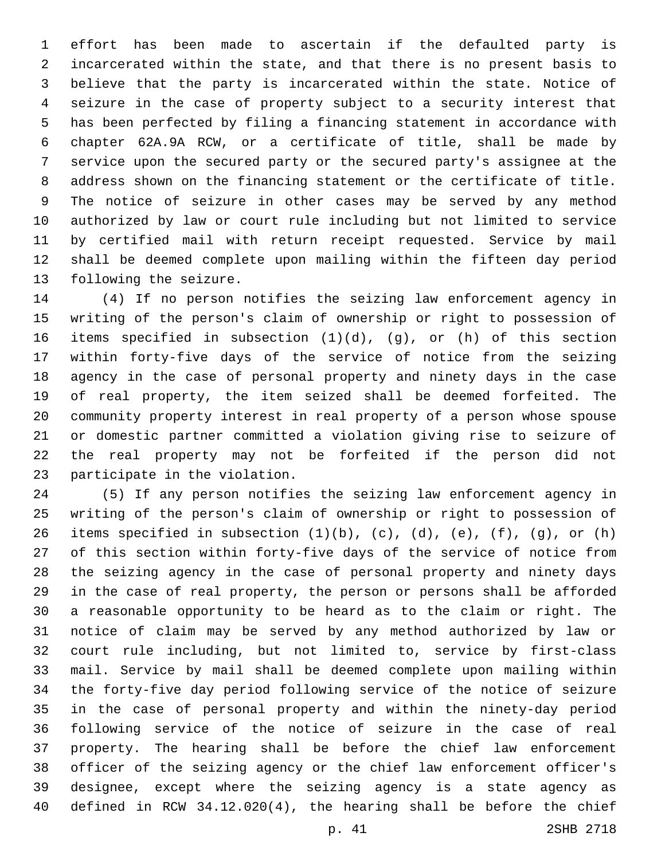effort has been made to ascertain if the defaulted party is incarcerated within the state, and that there is no present basis to believe that the party is incarcerated within the state. Notice of seizure in the case of property subject to a security interest that has been perfected by filing a financing statement in accordance with chapter 62A.9A RCW, or a certificate of title, shall be made by service upon the secured party or the secured party's assignee at the address shown on the financing statement or the certificate of title. The notice of seizure in other cases may be served by any method authorized by law or court rule including but not limited to service by certified mail with return receipt requested. Service by mail shall be deemed complete upon mailing within the fifteen day period 13 following the seizure.

 (4) If no person notifies the seizing law enforcement agency in writing of the person's claim of ownership or right to possession of items specified in subsection (1)(d), (g), or (h) of this section within forty-five days of the service of notice from the seizing agency in the case of personal property and ninety days in the case of real property, the item seized shall be deemed forfeited. The community property interest in real property of a person whose spouse or domestic partner committed a violation giving rise to seizure of the real property may not be forfeited if the person did not 23 participate in the violation.

 (5) If any person notifies the seizing law enforcement agency in writing of the person's claim of ownership or right to possession of 26 items specified in subsection  $(1)(b)$ ,  $(c)$ ,  $(d)$ ,  $(e)$ ,  $(f)$ ,  $(g)$ , or  $(h)$  of this section within forty-five days of the service of notice from the seizing agency in the case of personal property and ninety days in the case of real property, the person or persons shall be afforded a reasonable opportunity to be heard as to the claim or right. The notice of claim may be served by any method authorized by law or court rule including, but not limited to, service by first-class mail. Service by mail shall be deemed complete upon mailing within the forty-five day period following service of the notice of seizure in the case of personal property and within the ninety-day period following service of the notice of seizure in the case of real property. The hearing shall be before the chief law enforcement officer of the seizing agency or the chief law enforcement officer's designee, except where the seizing agency is a state agency as defined in RCW 34.12.020(4), the hearing shall be before the chief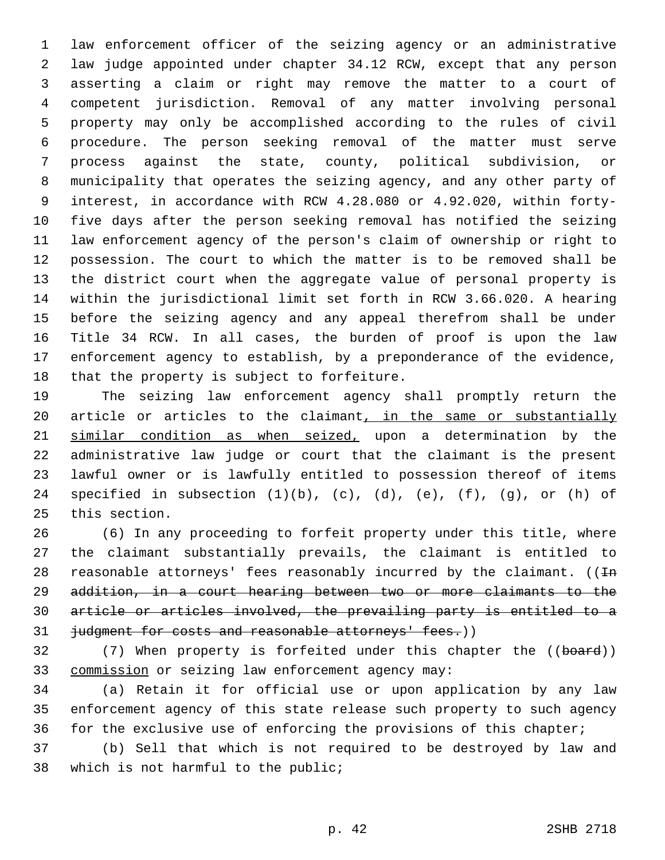law enforcement officer of the seizing agency or an administrative law judge appointed under chapter 34.12 RCW, except that any person asserting a claim or right may remove the matter to a court of competent jurisdiction. Removal of any matter involving personal property may only be accomplished according to the rules of civil procedure. The person seeking removal of the matter must serve process against the state, county, political subdivision, or municipality that operates the seizing agency, and any other party of interest, in accordance with RCW 4.28.080 or 4.92.020, within forty- five days after the person seeking removal has notified the seizing law enforcement agency of the person's claim of ownership or right to possession. The court to which the matter is to be removed shall be the district court when the aggregate value of personal property is within the jurisdictional limit set forth in RCW 3.66.020. A hearing before the seizing agency and any appeal therefrom shall be under Title 34 RCW. In all cases, the burden of proof is upon the law enforcement agency to establish, by a preponderance of the evidence, 18 that the property is subject to forfeiture.

 The seizing law enforcement agency shall promptly return the 20 article or articles to the claimant, in the same or substantially 21 similar condition as when seized, upon a determination by the administrative law judge or court that the claimant is the present lawful owner or is lawfully entitled to possession thereof of items 24 specified in subsection  $(1)(b)$ ,  $(c)$ ,  $(d)$ ,  $(e)$ ,  $(f)$ ,  $(g)$ , or  $(h)$  of 25 this section.

 (6) In any proceeding to forfeit property under this title, where the claimant substantially prevails, the claimant is entitled to 28 reasonable attorneys' fees reasonably incurred by the claimant.  $((\text{In}$  addition, in a court hearing between two or more claimants to the article or articles involved, the prevailing party is entitled to a 31 judgment for costs and reasonable attorneys' fees.))

32 (7) When property is forfeited under this chapter the ((board)) commission or seizing law enforcement agency may:33

 (a) Retain it for official use or upon application by any law enforcement agency of this state release such property to such agency for the exclusive use of enforcing the provisions of this chapter;

 (b) Sell that which is not required to be destroyed by law and 38 which is not harmful to the public;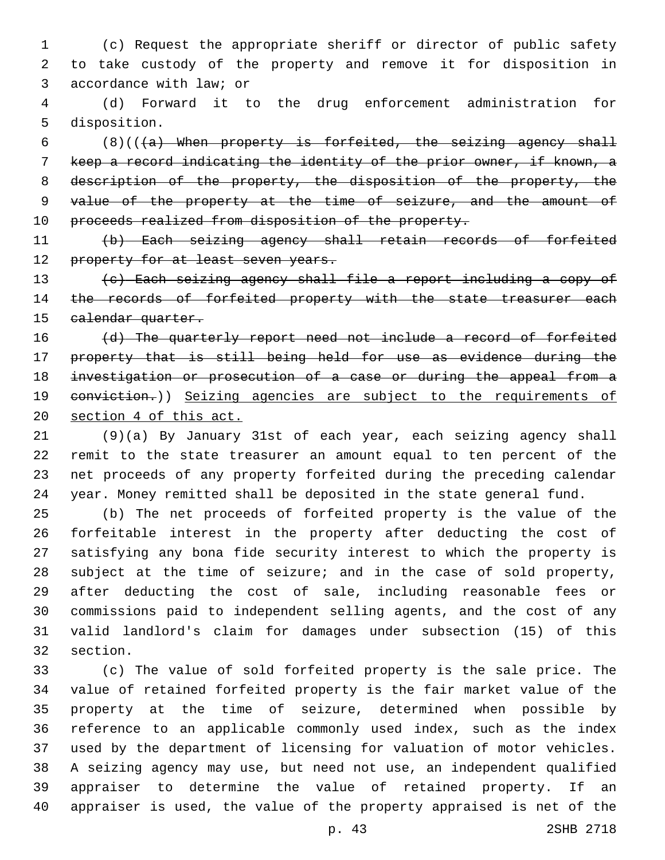(c) Request the appropriate sheriff or director of public safety to take custody of the property and remove it for disposition in 3 accordance with law; or

 (d) Forward it to the drug enforcement administration for 5 disposition.

6  $(8)((+a)$  When property is forfeited, the seizing agency shall keep a record indicating the identity of the prior owner, if known, a 8 description of the property, the disposition of the property, the value of the property at the time of seizure, and the amount of 10 proceeds realized from disposition of the property.

 (b) Each seizing agency shall retain records of forfeited 12 property for at least seven years.

 (c) Each seizing agency shall file a report including a copy of 14 the records of forfeited property with the state treasurer each 15 calendar quarter.

16 (d) The quarterly report need not include a record of forfeited property that is still being held for use as evidence during the investigation or prosecution of a case or during the appeal from a 19 eonviction.)) Seizing agencies are subject to the requirements of section 4 of this act.

 (9)(a) By January 31st of each year, each seizing agency shall remit to the state treasurer an amount equal to ten percent of the net proceeds of any property forfeited during the preceding calendar year. Money remitted shall be deposited in the state general fund.

 (b) The net proceeds of forfeited property is the value of the forfeitable interest in the property after deducting the cost of satisfying any bona fide security interest to which the property is subject at the time of seizure; and in the case of sold property, after deducting the cost of sale, including reasonable fees or commissions paid to independent selling agents, and the cost of any valid landlord's claim for damages under subsection (15) of this 32 section.

 (c) The value of sold forfeited property is the sale price. The value of retained forfeited property is the fair market value of the property at the time of seizure, determined when possible by reference to an applicable commonly used index, such as the index used by the department of licensing for valuation of motor vehicles. A seizing agency may use, but need not use, an independent qualified appraiser to determine the value of retained property. If an appraiser is used, the value of the property appraised is net of the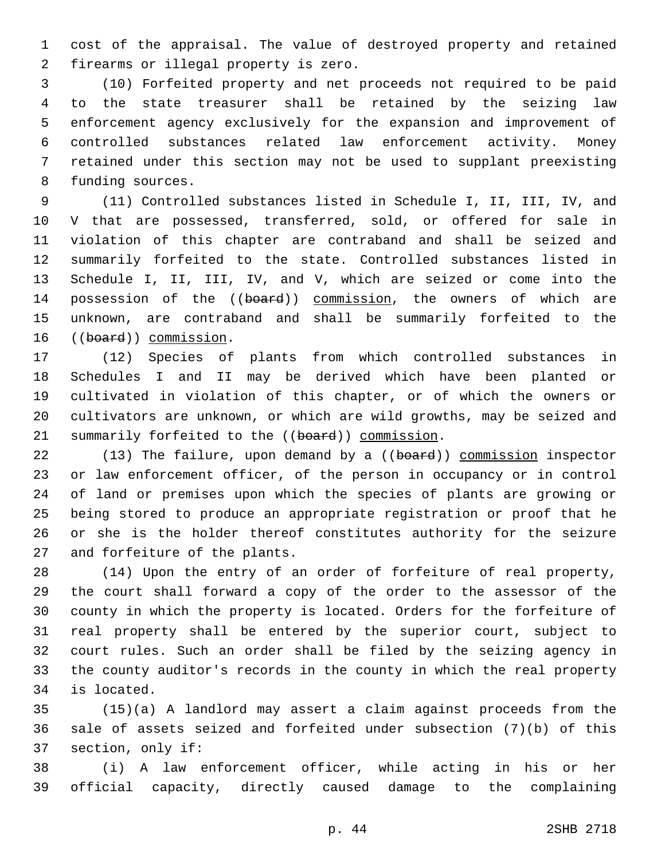cost of the appraisal. The value of destroyed property and retained 2 firearms or illegal property is zero.

 (10) Forfeited property and net proceeds not required to be paid to the state treasurer shall be retained by the seizing law enforcement agency exclusively for the expansion and improvement of controlled substances related law enforcement activity. Money retained under this section may not be used to supplant preexisting 8 funding sources.

 (11) Controlled substances listed in Schedule I, II, III, IV, and V that are possessed, transferred, sold, or offered for sale in violation of this chapter are contraband and shall be seized and summarily forfeited to the state. Controlled substances listed in Schedule I, II, III, IV, and V, which are seized or come into the 14 possession of the ((board)) commission, the owners of which are unknown, are contraband and shall be summarily forfeited to the 16 ((board)) commission.

 (12) Species of plants from which controlled substances in Schedules I and II may be derived which have been planted or cultivated in violation of this chapter, or of which the owners or cultivators are unknown, or which are wild growths, may be seized and 21 summarily forfeited to the ((board)) commission.

22 (13) The failure, upon demand by a ((board)) commission inspector or law enforcement officer, of the person in occupancy or in control of land or premises upon which the species of plants are growing or being stored to produce an appropriate registration or proof that he or she is the holder thereof constitutes authority for the seizure 27 and forfeiture of the plants.

 (14) Upon the entry of an order of forfeiture of real property, the court shall forward a copy of the order to the assessor of the county in which the property is located. Orders for the forfeiture of real property shall be entered by the superior court, subject to court rules. Such an order shall be filed by the seizing agency in the county auditor's records in the county in which the real property 34 is located.

 (15)(a) A landlord may assert a claim against proceeds from the sale of assets seized and forfeited under subsection (7)(b) of this 37 section, only if:

 (i) A law enforcement officer, while acting in his or her official capacity, directly caused damage to the complaining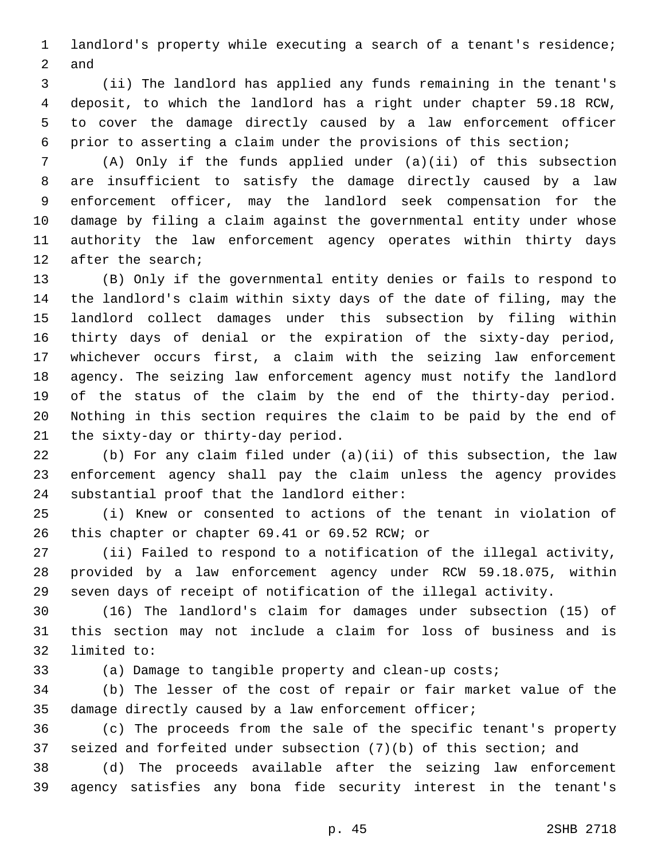landlord's property while executing a search of a tenant's residence; 2 and

 (ii) The landlord has applied any funds remaining in the tenant's deposit, to which the landlord has a right under chapter 59.18 RCW, to cover the damage directly caused by a law enforcement officer prior to asserting a claim under the provisions of this section;

 (A) Only if the funds applied under (a)(ii) of this subsection are insufficient to satisfy the damage directly caused by a law enforcement officer, may the landlord seek compensation for the damage by filing a claim against the governmental entity under whose authority the law enforcement agency operates within thirty days 12 after the search;

 (B) Only if the governmental entity denies or fails to respond to the landlord's claim within sixty days of the date of filing, may the landlord collect damages under this subsection by filing within thirty days of denial or the expiration of the sixty-day period, whichever occurs first, a claim with the seizing law enforcement agency. The seizing law enforcement agency must notify the landlord of the status of the claim by the end of the thirty-day period. Nothing in this section requires the claim to be paid by the end of 21 the sixty-day or thirty-day period.

 (b) For any claim filed under (a)(ii) of this subsection, the law enforcement agency shall pay the claim unless the agency provides 24 substantial proof that the landlord either:

 (i) Knew or consented to actions of the tenant in violation of 26 this chapter or chapter 69.41 or 69.52 RCW; or

 (ii) Failed to respond to a notification of the illegal activity, provided by a law enforcement agency under RCW 59.18.075, within seven days of receipt of notification of the illegal activity.

 (16) The landlord's claim for damages under subsection (15) of this section may not include a claim for loss of business and is 32 limited to:

(a) Damage to tangible property and clean-up costs;

 (b) The lesser of the cost of repair or fair market value of the damage directly caused by a law enforcement officer;

 (c) The proceeds from the sale of the specific tenant's property seized and forfeited under subsection (7)(b) of this section; and

 (d) The proceeds available after the seizing law enforcement agency satisfies any bona fide security interest in the tenant's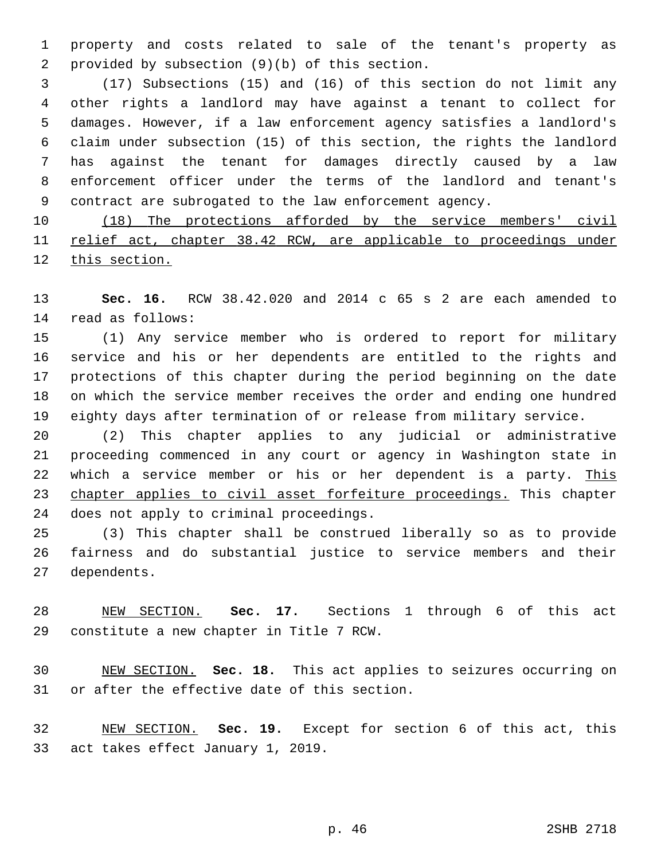property and costs related to sale of the tenant's property as 2 provided by subsection  $(9)(b)$  of this section.

 (17) Subsections (15) and (16) of this section do not limit any other rights a landlord may have against a tenant to collect for damages. However, if a law enforcement agency satisfies a landlord's claim under subsection (15) of this section, the rights the landlord has against the tenant for damages directly caused by a law enforcement officer under the terms of the landlord and tenant's contract are subrogated to the law enforcement agency.

10 (18) The protections afforded by the service members' civil relief act, chapter 38.42 RCW, are applicable to proceedings under this section.

 **Sec. 16.** RCW 38.42.020 and 2014 c 65 s 2 are each amended to 14 read as follows:

 (1) Any service member who is ordered to report for military service and his or her dependents are entitled to the rights and protections of this chapter during the period beginning on the date on which the service member receives the order and ending one hundred eighty days after termination of or release from military service.

 (2) This chapter applies to any judicial or administrative proceeding commenced in any court or agency in Washington state in 22 which a service member or his or her dependent is a party. This 23 chapter applies to civil asset forfeiture proceedings. This chapter 24 does not apply to criminal proceedings.

 (3) This chapter shall be construed liberally so as to provide fairness and do substantial justice to service members and their 27 dependents.

 NEW SECTION. **Sec. 17.** Sections 1 through 6 of this act constitute a new chapter in Title 7 RCW.

 NEW SECTION. **Sec. 18.** This act applies to seizures occurring on or after the effective date of this section.

 NEW SECTION. **Sec. 19.** Except for section 6 of this act, this act takes effect January 1, 2019.